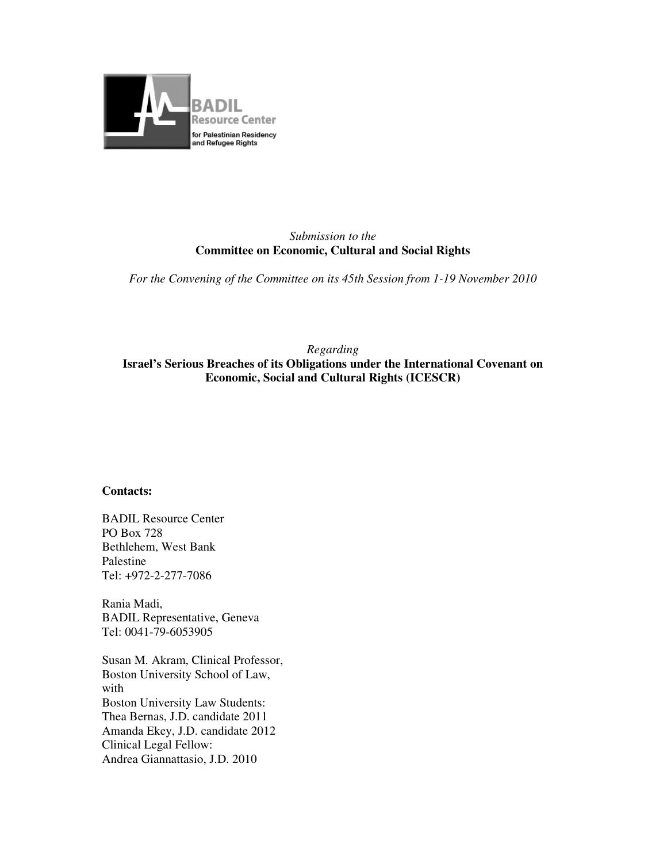

### *Submission to the*  **Committee on Economic, Cultural and Social Rights**

*For the Convening of the Committee on its 45th Session from 1-19 November 2010* 

### *Regarding*  **Israel's Serious Breaches of its Obligations under the International Covenant on Economic, Social and Cultural Rights (ICESCR)**

#### **Contacts:**

BADIL Resource Center PO Box 728 Bethlehem, West Bank Palestine Tel: +972-2-277-7086

Rania Madi, BADIL Representative, Geneva Tel: 0041-79-6053905

Susan M. Akram, Clinical Professor, Boston University School of Law, with Boston University Law Students: Thea Bernas, J.D. candidate 2011 Amanda Ekey, J.D. candidate 2012 Clinical Legal Fellow: Andrea Giannattasio, J.D. 2010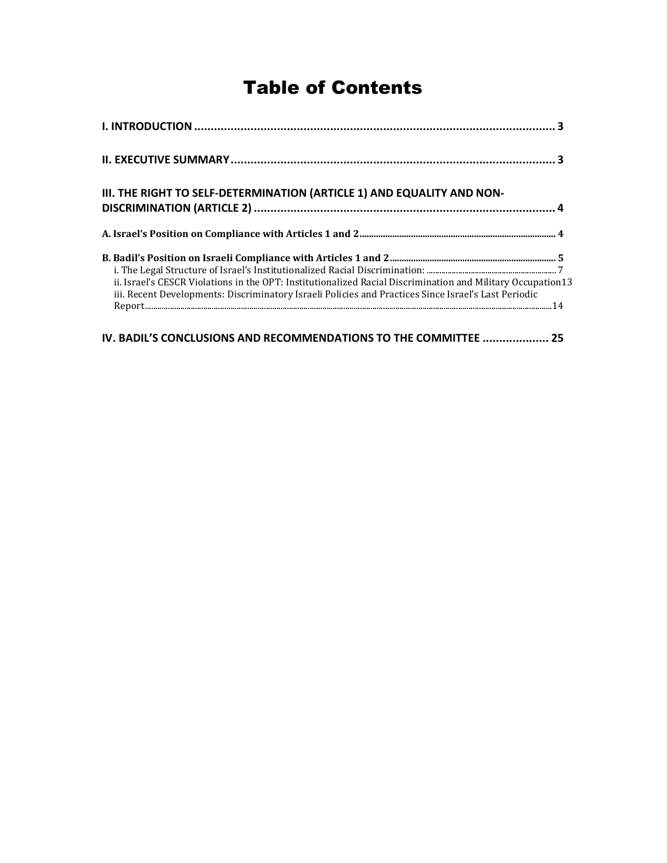# Table of Contents

| III. THE RIGHT TO SELF-DETERMINATION (ARTICLE 1) AND EQUALITY AND NON-                                                                                                                                                                                                                   |  |
|------------------------------------------------------------------------------------------------------------------------------------------------------------------------------------------------------------------------------------------------------------------------------------------|--|
|                                                                                                                                                                                                                                                                                          |  |
| ii. Israel's CESCR Violations in the OPT: Institutionalized Racial Discrimination and Military Occupation 13<br>iii. Recent Developments: Discriminatory Israeli Policies and Practices Since Israel's Last Periodic<br>IV. BADIL'S CONCLUSIONS AND RECOMMENDATIONS TO THE COMMITTEE  25 |  |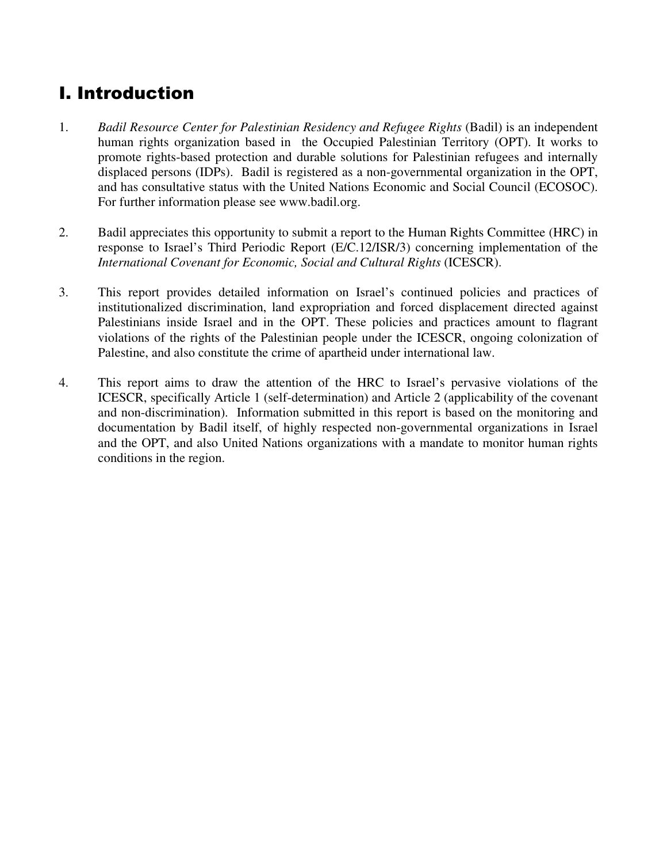# I. Introduction

- 1. *Badil Resource Center for Palestinian Residency and Refugee Rights* (Badil) is an independent human rights organization based in the Occupied Palestinian Territory (OPT). It works to promote rights-based protection and durable solutions for Palestinian refugees and internally displaced persons (IDPs). Badil is registered as a non-governmental organization in the OPT, and has consultative status with the United Nations Economic and Social Council (ECOSOC). For further information please see www.badil.org.
- 2. Badil appreciates this opportunity to submit a report to the Human Rights Committee (HRC) in response to Israel's Third Periodic Report (E/C.12/ISR/3) concerning implementation of the *International Covenant for Economic, Social and Cultural Rights* (ICESCR).
- 3. This report provides detailed information on Israel's continued policies and practices of institutionalized discrimination, land expropriation and forced displacement directed against Palestinians inside Israel and in the OPT. These policies and practices amount to flagrant violations of the rights of the Palestinian people under the ICESCR, ongoing colonization of Palestine, and also constitute the crime of apartheid under international law.
- 4. This report aims to draw the attention of the HRC to Israel's pervasive violations of the ICESCR, specifically Article 1 (self-determination) and Article 2 (applicability of the covenant and non-discrimination). Information submitted in this report is based on the monitoring and documentation by Badil itself, of highly respected non-governmental organizations in Israel and the OPT, and also United Nations organizations with a mandate to monitor human rights conditions in the region.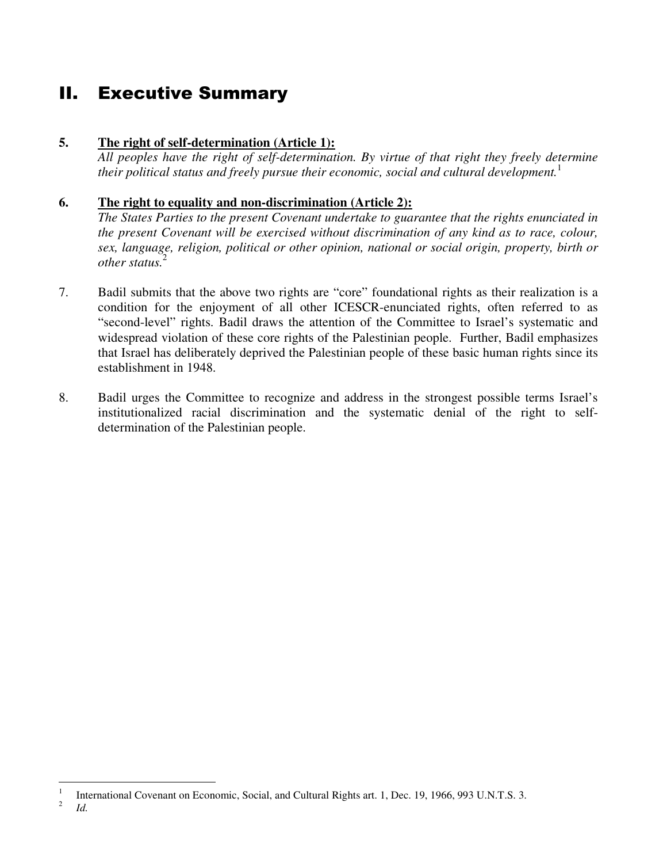# II. Executive Summary

### **5. The right of self-determination (Article 1):**

*All peoples have the right of self-determination. By virtue of that right they freely determine their political status and freely pursue their economic, social and cultural development.*<sup>1</sup>

### **6. The right to equality and non-discrimination (Article 2):**

*The States Parties to the present Covenant undertake to guarantee that the rights enunciated in the present Covenant will be exercised without discrimination of any kind as to race, colour, sex, language, religion, political or other opinion, national or social origin, property, birth or other status.*<sup>2</sup>

- 7. Badil submits that the above two rights are "core" foundational rights as their realization is a condition for the enjoyment of all other ICESCR-enunciated rights, often referred to as "second-level" rights. Badil draws the attention of the Committee to Israel's systematic and widespread violation of these core rights of the Palestinian people. Further, Badil emphasizes that Israel has deliberately deprived the Palestinian people of these basic human rights since its establishment in 1948.
- 8. Badil urges the Committee to recognize and address in the strongest possible terms Israel's institutionalized racial discrimination and the systematic denial of the right to selfdetermination of the Palestinian people.

<sup>&</sup>lt;u>.</u> 1 International Covenant on Economic, Social, and Cultural Rights art. 1, Dec. 19, 1966, 993 U.N.T.S. 3. 2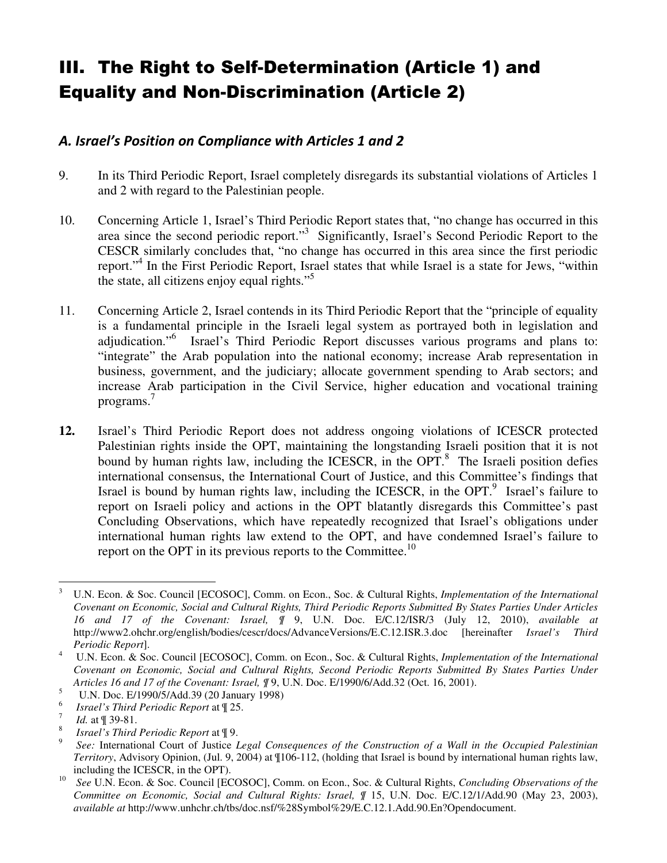# III. The Right to Self-Determination (Article 1) and Equality and Non-Discrimination (Article 2)

## A. Israel's Position on Compliance with Articles 1 and 2

- 9. In its Third Periodic Report, Israel completely disregards its substantial violations of Articles 1 and 2 with regard to the Palestinian people.
- 10. Concerning Article 1, Israel's Third Periodic Report states that, "no change has occurred in this area since the second periodic report."<sup>3</sup> Significantly, Israel's Second Periodic Report to the CESCR similarly concludes that, "no change has occurred in this area since the first periodic report."<sup>4</sup> In the First Periodic Report, Israel states that while Israel is a state for Jews, "within the state, all citizens enjoy equal rights."<sup>5</sup>
- 11. Concerning Article 2, Israel contends in its Third Periodic Report that the "principle of equality is a fundamental principle in the Israeli legal system as portrayed both in legislation and adjudication."<sup>6</sup> Israel's Third Periodic Report discusses various programs and plans to: "integrate" the Arab population into the national economy; increase Arab representation in business, government, and the judiciary; allocate government spending to Arab sectors; and increase Arab participation in the Civil Service, higher education and vocational training programs.<sup>7</sup>
- **12.** Israel's Third Periodic Report does not address ongoing violations of ICESCR protected Palestinian rights inside the OPT, maintaining the longstanding Israeli position that it is not bound by human rights law, including the ICESCR, in the OPT.<sup>8</sup> The Israeli position defies international consensus, the International Court of Justice, and this Committee's findings that Israel is bound by human rights law, including the ICESCR, in the OPT. $9$  Israel's failure to report on Israeli policy and actions in the OPT blatantly disregards this Committee's past Concluding Observations, which have repeatedly recognized that Israel's obligations under international human rights law extend to the OPT, and have condemned Israel's failure to report on the OPT in its previous reports to the Committee.<sup>10</sup>

5 U.N. Doc. E/1990/5/Add.39 (20 January 1998)

7 *Id.* at  $\P$  39-81.

 $\frac{1}{3}$  U.N. Econ. & Soc. Council [ECOSOC], Comm. on Econ., Soc. & Cultural Rights, *Implementation of the International Covenant on Economic, Social and Cultural Rights, Third Periodic Reports Submitted By States Parties Under Articles 16 and 17 of the Covenant: Israel, ¶* 9, U.N. Doc. E/C.12/ISR/3 (July 12, 2010), *available at* http://www2.ohchr.org/english/bodies/cescr/docs/AdvanceVersions/E.C.12.ISR.3.doc [hereinafter *Israel's Third Periodic Report*].

<sup>4</sup> U.N. Econ. & Soc. Council [ECOSOC], Comm. on Econ., Soc. & Cultural Rights, *Implementation of the International Covenant on Economic, Social and Cultural Rights, Second Periodic Reports Submitted By States Parties Under Articles 16 and 17 of the Covenant: Israel, ¶* 9, U.N. Doc. E/1990/6/Add.32 (Oct. 16, 2001).

<sup>6</sup> *Israel's Third Periodic Report* at ¶ 25.

<sup>8</sup> *Israel's Third Periodic Report* at ¶ 9.

<sup>9</sup> *See:* International Court of Justice *Legal Consequences of the Construction of a Wall in the Occupied Palestinian Territory*, Advisory Opinion, (Jul. 9, 2004) at ¶106-112, (holding that Israel is bound by international human rights law, including the ICESCR, in the OPT).

<sup>10</sup> *See* U.N. Econ. & Soc. Council [ECOSOC], Comm. on Econ., Soc. & Cultural Rights, *Concluding Observations of the Committee on Economic, Social and Cultural Rights: Israel, ¶ 15, U.N. Doc. E/C.12/1/Add.90 (May 23, 2003), available at* http://www.unhchr.ch/tbs/doc.nsf/%28Symbol%29/E.C.12.1.Add.90.En?Opendocument.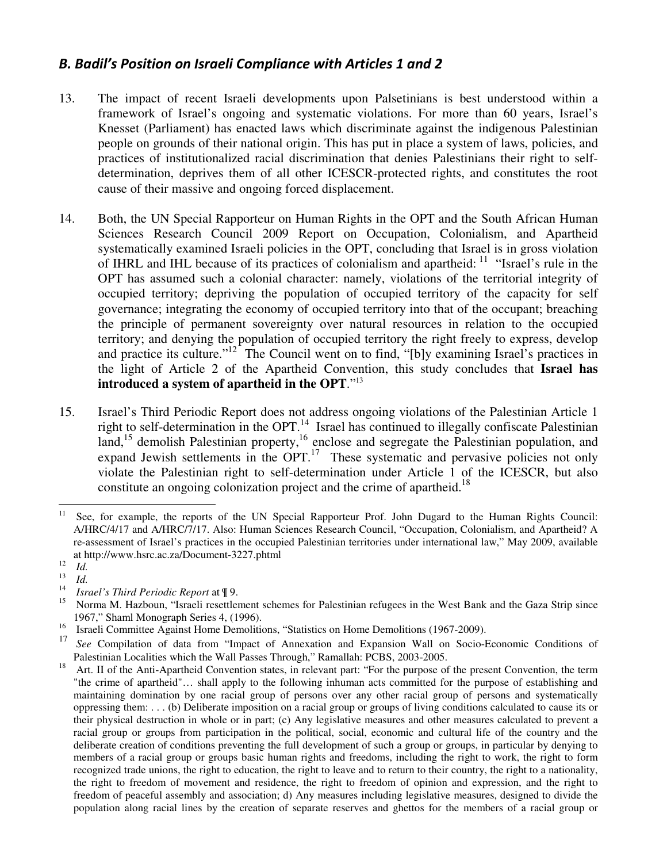## B. Badil's Position on Israeli Compliance with Articles 1 and 2

- 13. The impact of recent Israeli developments upon Palsetinians is best understood within a framework of Israel's ongoing and systematic violations. For more than 60 years, Israel's Knesset (Parliament) has enacted laws which discriminate against the indigenous Palestinian people on grounds of their national origin. This has put in place a system of laws, policies, and practices of institutionalized racial discrimination that denies Palestinians their right to selfdetermination, deprives them of all other ICESCR-protected rights, and constitutes the root cause of their massive and ongoing forced displacement.
- 14. Both, the UN Special Rapporteur on Human Rights in the OPT and the South African Human Sciences Research Council 2009 Report on Occupation, Colonialism, and Apartheid systematically examined Israeli policies in the OPT, concluding that Israel is in gross violation of IHRL and IHL because of its practices of colonialism and apartheid:  $11$  "Israel's rule in the OPT has assumed such a colonial character: namely, violations of the territorial integrity of occupied territory; depriving the population of occupied territory of the capacity for self governance; integrating the economy of occupied territory into that of the occupant; breaching the principle of permanent sovereignty over natural resources in relation to the occupied territory; and denying the population of occupied territory the right freely to express, develop and practice its culture."<sup>12</sup> The Council went on to find, "[b]y examining Israel's practices in the light of Article 2 of the Apartheid Convention, this study concludes that **Israel has introduced a system of apartheid in the OPT**."<sup>13</sup>
- 15. Israel's Third Periodic Report does not address ongoing violations of the Palestinian Article 1 right to self-determination in the OPT.<sup>14</sup> Israel has continued to illegally confiscate Palestinian land,<sup>15</sup> demolish Palestinian property,<sup>16</sup> enclose and segregate the Palestinian population, and expand Jewish settlements in the OPT.<sup>17</sup> These systematic and pervasive policies not only violate the Palestinian right to self-determination under Article 1 of the ICESCR, but also constitute an ongoing colonization project and the crime of apartheid.<sup>18</sup>

 $11$ <sup>11</sup> See, for example, the reports of the UN Special Rapporteur Prof. John Dugard to the Human Rights Council: A/HRC/4/17 and A/HRC/7/17. Also: Human Sciences Research Council, "Occupation, Colonialism, and Apartheid? A re-assessment of Israel's practices in the occupied Palestinian territories under international law," May 2009, available at http://www.hsrc.ac.za/Document-3227.phtml

<sup>12</sup> *Id.* 

<sup>13</sup> *Id.*

<sup>14</sup> *Israel's Third Periodic Report* at ¶ 9.

<sup>15</sup> Norma M. Hazboun, "Israeli resettlement schemes for Palestinian refugees in the West Bank and the Gaza Strip since 1967," Shaml Monograph Series 4, (1996).

<sup>&</sup>lt;sup>16</sup> Israeli Committee Against Home Demolitions, "Statistics on Home Demolitions (1967-2009).

<sup>17</sup> *See* Compilation of data from "Impact of Annexation and Expansion Wall on Socio-Economic Conditions of Palestinian Localities which the Wall Passes Through," Ramallah: PCBS, 2003-2005.

<sup>18</sup> Art. II of the Anti-Apartheid Convention states, in relevant part: "For the purpose of the present Convention, the term "the crime of apartheid"… shall apply to the following inhuman acts committed for the purpose of establishing and maintaining domination by one racial group of persons over any other racial group of persons and systematically oppressing them: . . . (b) Deliberate imposition on a racial group or groups of living conditions calculated to cause its or their physical destruction in whole or in part; (c) Any legislative measures and other measures calculated to prevent a racial group or groups from participation in the political, social, economic and cultural life of the country and the deliberate creation of conditions preventing the full development of such a group or groups, in particular by denying to members of a racial group or groups basic human rights and freedoms, including the right to work, the right to form recognized trade unions, the right to education, the right to leave and to return to their country, the right to a nationality, the right to freedom of movement and residence, the right to freedom of opinion and expression, and the right to freedom of peaceful assembly and association; d) Any measures including legislative measures, designed to divide the population along racial lines by the creation of separate reserves and ghettos for the members of a racial group or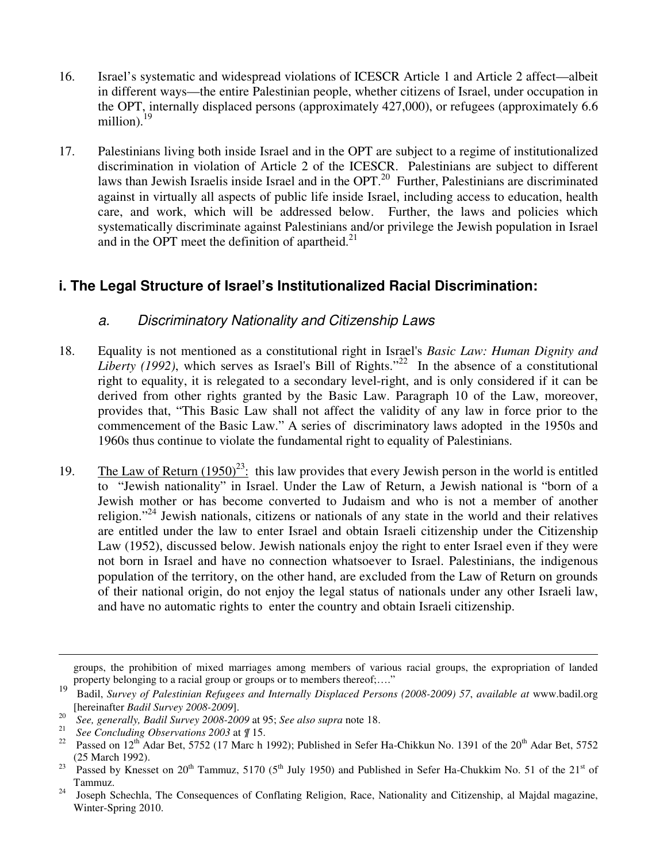- 16. Israel's systematic and widespread violations of ICESCR Article 1 and Article 2 affect—albeit in different ways—the entire Palestinian people, whether citizens of Israel, under occupation in the OPT, internally displaced persons (approximately 427,000), or refugees (approximately 6.6 million).<sup>19</sup>
- 17. Palestinians living both inside Israel and in the OPT are subject to a regime of institutionalized discrimination in violation of Article 2 of the ICESCR. Palestinians are subject to different laws than Jewish Israelis inside Israel and in the OPT.<sup>20</sup> Further, Palestinians are discriminated against in virtually all aspects of public life inside Israel, including access to education, health care, and work, which will be addressed below. Further, the laws and policies which systematically discriminate against Palestinians and/or privilege the Jewish population in Israel and in the OPT meet the definition of apartheid. $21$

# **i. The Legal Structure of Israel's Institutionalized Racial Discrimination:**

## a. Discriminatory Nationality and Citizenship Laws

- 18. Equality is not mentioned as a constitutional right in Israel's *Basic Law: Human Dignity and Liberty (1992)*, which serves as Israel's Bill of Rights."<sup>22</sup> In the absence of a constitutional right to equality, it is relegated to a secondary level-right, and is only considered if it can be derived from other rights granted by the Basic Law. Paragraph 10 of the Law, moreover, provides that, "This Basic Law shall not affect the validity of any law in force prior to the commencement of the Basic Law." A series of discriminatory laws adopted in the 1950s and 1960s thus continue to violate the fundamental right to equality of Palestinians.
- 19. The Law of Return  $(1950)^{23}$ : this law provides that every Jewish person in the world is entitled to "Jewish nationality" in Israel. Under the Law of Return, a Jewish national is "born of a Jewish mother or has become converted to Judaism and who is not a member of another religion."<sup>24</sup> Jewish nationals, citizens or nationals of any state in the world and their relatives are entitled under the law to enter Israel and obtain Israeli citizenship under the Citizenship Law (1952), discussed below. Jewish nationals enjoy the right to enter Israel even if they were not born in Israel and have no connection whatsoever to Israel. Palestinians, the indigenous population of the territory, on the other hand, are excluded from the Law of Return on grounds of their national origin, do not enjoy the legal status of nationals under any other Israeli law, and have no automatic rights to enter the country and obtain Israeli citizenship.

 $\overline{a}$ 

groups, the prohibition of mixed marriages among members of various racial groups, the expropriation of landed property belonging to a racial group or groups or to members thereof;…."

<sup>19</sup> Badil, *Survey of Palestinian Refugees and Internally Displaced Persons (2008-2009) 57*, *available at* www.badil.org [hereinafter *Badil Survey 2008-2009*].

<sup>20</sup> *See, generally, Badil Survey 2008-2009* at 95; *See also supra* note 18.

<sup>21</sup> <sup>21</sup> *See Concluding Observations 2003* at  $\#$  15.<br><sup>22</sup> Passed on 12<sup>th</sup> Adar Bet, 5752 (17 March 1

Passed on 12<sup>th</sup> Adar Bet, 5752 (17 Marc h 1992); Published in Sefer Ha-Chikkun No. 1391 of the 20<sup>th</sup> Adar Bet, 5752 (25 March 1992).

<sup>&</sup>lt;sup>23</sup> Passed by Knesset on 20<sup>th</sup> Tammuz, 5170 (5<sup>th</sup> July 1950) and Published in Sefer Ha-Chukkim No. 51 of the 21<sup>st</sup> of Tammuz.

<sup>&</sup>lt;sup>24</sup> Joseph Schechla, The Consequences of Conflating Religion, Race, Nationality and Citizenship, al Majdal magazine, Winter-Spring 2010.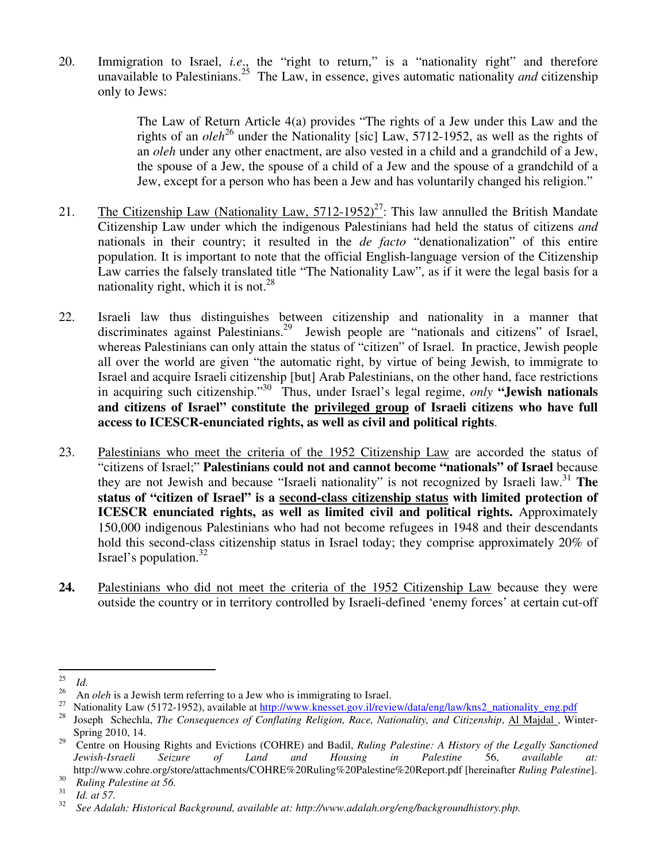20. Immigration to Israel, *i.e*., the "right to return," is a "nationality right" and therefore unavailable to Palestinians.<sup>25</sup> The Law, in essence, gives automatic nationality *and* citizenship only to Jews:

> The Law of Return Article 4(a) provides "The rights of a Jew under this Law and the rights of an *oleh*<sup>26</sup> under the Nationality [sic] Law, 5712-1952, as well as the rights of an *oleh* under any other enactment, are also vested in a child and a grandchild of a Jew, the spouse of a Jew, the spouse of a child of a Jew and the spouse of a grandchild of a Jew, except for a person who has been a Jew and has voluntarily changed his religion."

- 21. The Citizenship Law (Nationality Law,  $5712-1952$ )<sup>27</sup>: This law annulled the British Mandate Citizenship Law under which the indigenous Palestinians had held the status of citizens *and* nationals in their country; it resulted in the *de facto* "denationalization" of this entire population. It is important to note that the official English-language version of the Citizenship Law carries the falsely translated title "The Nationality Law", as if it were the legal basis for a nationality right, which it is not. $^{28}$
- 22. Israeli law thus distinguishes between citizenship and nationality in a manner that discriminates against Palestinians.<sup>29</sup> Jewish people are "nationals and citizens" of Israel, whereas Palestinians can only attain the status of "citizen" of Israel. In practice, Jewish people all over the world are given "the automatic right, by virtue of being Jewish, to immigrate to Israel and acquire Israeli citizenship [but] Arab Palestinians, on the other hand, face restrictions in acquiring such citizenship."<sup>30</sup> Thus, under Israel's legal regime, *only* **"Jewish nationals and citizens of Israel" constitute the privileged group of Israeli citizens who have full access to ICESCR-enunciated rights, as well as civil and political rights**.
- 23. Palestinians who meet the criteria of the 1952 Citizenship Law are accorded the status of "citizens of Israel;" **Palestinians could not and cannot become "nationals" of Israel** because they are not Jewish and because "Israeli nationality" is not recognized by Israeli law.<sup>31</sup> **The status of "citizen of Israel" is a second-class citizenship status with limited protection of ICESCR enunciated rights, as well as limited civil and political rights.** Approximately 150,000 indigenous Palestinians who had not become refugees in 1948 and their descendants hold this second-class citizenship status in Israel today; they comprise approximately 20% of Israel's population. $32$
- **24.** Palestinians who did not meet the criteria of the 1952 Citizenship Law because they were outside the country or in territory controlled by Israeli-defined 'enemy forces' at certain cut-off

 $\frac{1}{25}$  $\frac{25}{26}$  *Id.* 

<sup>&</sup>lt;sup>26</sup> An *oleh* is a Jewish term referring to a Jew who is immigrating to Israel.<br><sup>27</sup> Metionality Law (5172, 1052), smillable at http://www.lrageest.cov.il/wwi

<sup>&</sup>lt;sup>27</sup> Nationality Law (5172-1952), available at  $\frac{http://www.knesset.gov.i/review/data/eng/law/kns2_nationality_eng.pdf}{28}$ <br><sup>28</sup> Joseph Schockle *The Consequences of Conflating Beligion*, Base, Nationality, and Citizenskin, Al Moidel, Wii

<sup>28</sup> Joseph Schechla, *The Consequences of Conflating Religion, Race, Nationality, and Citizenship*, Al Majdal , Winter-Spring 2010, 14.

<sup>&</sup>lt;sup>29</sup> Centre on Housing Rights and Evictions (COHRE) and Badil, *Ruling Palestine: A History of the Legally Sanctioned Jewish-Israeli Seizure of Land and Housing in Palestine* 56, *available at:*  http://www.cohre.org/store/attachments/COHRE%20Ruling%20Palestine%20Report.pdf [hereinafter *Ruling Palestine*].

<sup>30</sup> *Ruling Palestine at 56.* 

<sup>31</sup> *Id. at 57.* 

<sup>32</sup> *See Adalah: Historical Background, available at: http://www.adalah.org/eng/backgroundhistory.php.*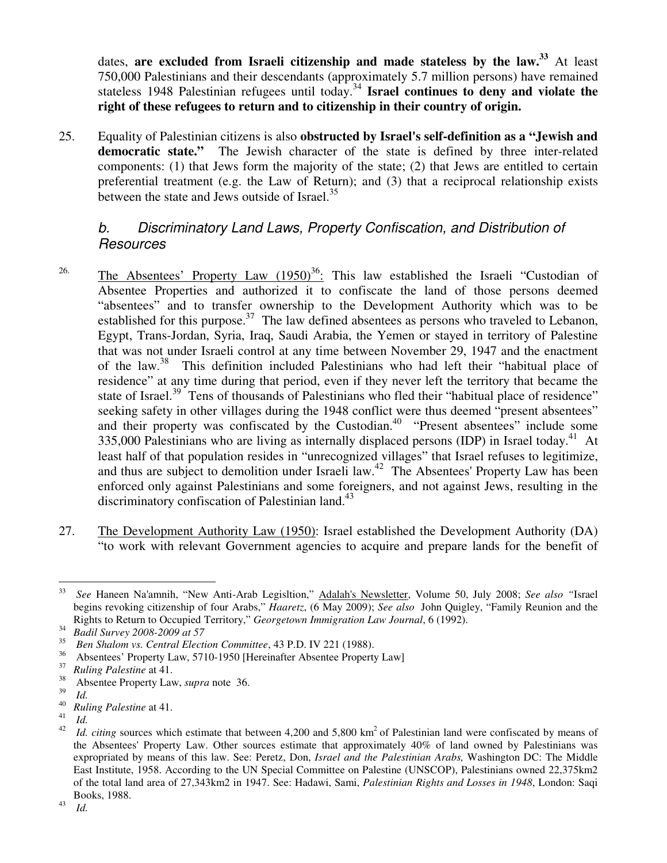dates, **are excluded from Israeli citizenship and made stateless by the law.<sup>33</sup>** At least 750,000 Palestinians and their descendants (approximately 5.7 million persons) have remained stateless 1948 Palestinian refugees until today.<sup>34</sup> **Israel continues to deny and violate the right of these refugees to return and to citizenship in their country of origin.** 

25. Equality of Palestinian citizens is also **obstructed by Israel's self-definition as a "Jewish and democratic state."** The Jewish character of the state is defined by three inter-related components: (1) that Jews form the majority of the state; (2) that Jews are entitled to certain preferential treatment (e.g. the Law of Return); and (3) that a reciprocal relationship exists between the state and Jews outside of Israel. $35$ 

## b. Discriminatory Land Laws, Property Confiscation, and Distribution of **Resources**

- <sup>26.</sup> The Absentees' Property Law  $(1950)^{36}$ . This law established the Israeli "Custodian of Absentee Properties and authorized it to confiscate the land of those persons deemed "absentees" and to transfer ownership to the Development Authority which was to be established for this purpose.<sup>37</sup> The law defined absentees as persons who traveled to Lebanon, Egypt, Trans-Jordan, Syria, Iraq, Saudi Arabia, the Yemen or stayed in territory of Palestine that was not under Israeli control at any time between November 29, 1947 and the enactment of the law.<sup>38</sup> This definition included Palestinians who had left their "habitual place of residence" at any time during that period, even if they never left the territory that became the state of Israel.<sup>39</sup> Tens of thousands of Palestinians who fled their "habitual place of residence" seeking safety in other villages during the 1948 conflict were thus deemed "present absentees" and their property was confiscated by the Custodian.<sup>40</sup> "Present absentees" include some 335,000 Palestinians who are living as internally displaced persons (IDP) in Israel today.<sup>41</sup> At least half of that population resides in "unrecognized villages" that Israel refuses to legitimize, and thus are subject to demolition under Israeli law.<sup>42</sup> The Absentees' Property Law has been enforced only against Palestinians and some foreigners, and not against Jews, resulting in the discriminatory confiscation of Palestinian land.<sup>43</sup>
- 27. The Development Authority Law (1950): Israel established the Development Authority (DA) "to work with relevant Government agencies to acquire and prepare lands for the benefit of

 $\frac{1}{33}$  *See* Haneen Na'amnih, "New Anti-Arab Legisltion," Adalah's Newsletter, Volume 50, July 2008; *See also "*Israel begins revoking citizenship of four Arabs," *Haaretz*, (6 May 2009); *See also* John Quigley, "Family Reunion and the Rights to Return to Occupied Territory," *Georgetown Immigration Law Journal*, 6 (1992).

<sup>34</sup> *Badil Survey 2008-2009 at 57* 

<sup>35</sup> <sup>35</sup> Ben Shalom vs. Central Election Committee, 43 P.D. IV 221 (1988).

<sup>&</sup>lt;sup>36</sup> Absentees' Property Law, 5710-1950 [Hereinafter Absentee Property Law]<br><sup>37</sup> Buling Palestine at 41

<sup>&</sup>lt;sup>37</sup> *Ruling Palestine* at 41.

<sup>38</sup> Absentee Property Law, *supra* note 36.

<sup>39</sup>  $\frac{39}{40}$  *Id.* 

<sup>40</sup> *Ruling Palestine* at 41.

<sup>41</sup> *Id.* 

<sup>42</sup> *Id. citing sources which estimate that between 4,200 and 5,800 km<sup>2</sup> of Palestinian land were confiscated by means of* the Absentees' Property Law. Other sources estimate that approximately 40% of land owned by Palestinians was expropriated by means of this law. See: Peretz, Don, *Israel and the Palestinian Arabs,* Washington DC: The Middle East Institute, 1958. According to the UN Special Committee on Palestine (UNSCOP), Palestinians owned 22,375km2 of the total land area of 27,343km2 in 1947. See: Hadawi, Sami, *Palestinian Rights and Losses in 1948*, London: Saqi Books, 1988.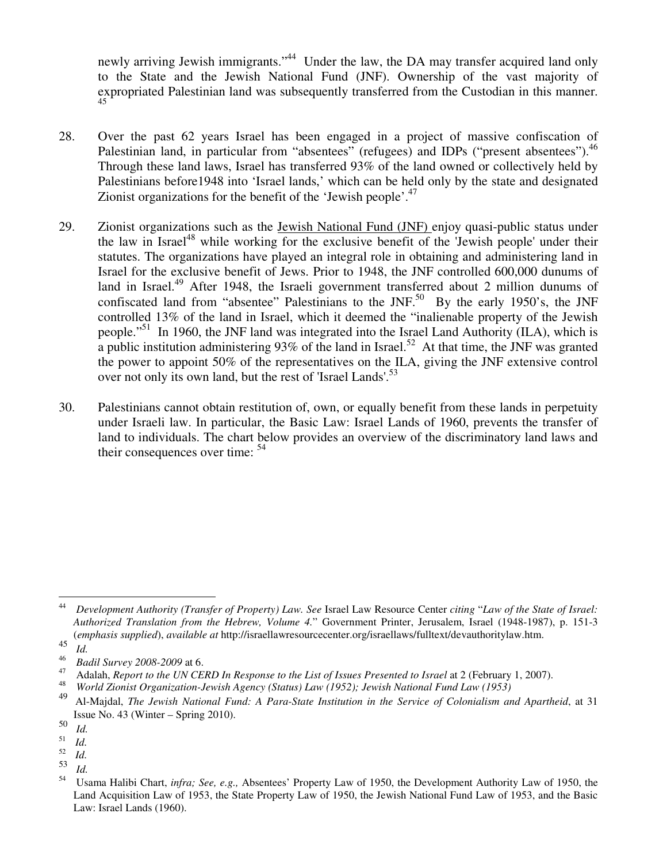newly arriving Jewish immigrants."<sup>44</sup> Under the law, the DA may transfer acquired land only to the State and the Jewish National Fund (JNF). Ownership of the vast majority of expropriated Palestinian land was subsequently transferred from the Custodian in this manner. 45

- 28. Over the past 62 years Israel has been engaged in a project of massive confiscation of Palestinian land, in particular from "absentees" (refugees) and IDPs ("present absentees").<sup>46</sup> Through these land laws, Israel has transferred 93% of the land owned or collectively held by Palestinians before1948 into 'Israel lands,' which can be held only by the state and designated Zionist organizations for the benefit of the 'Jewish people'.<sup>47</sup>
- 29. Zionist organizations such as the Jewish National Fund (JNF) enjoy quasi-public status under the law in Israel<sup>48</sup> while working for the exclusive benefit of the 'Jewish people' under their statutes. The organizations have played an integral role in obtaining and administering land in Israel for the exclusive benefit of Jews. Prior to 1948, the JNF controlled 600,000 dunums of land in Israel.<sup>49</sup> After 1948, the Israeli government transferred about 2 million dunums of confiscated land from "absentee" Palestinians to the JNF.<sup>50</sup> By the early 1950's, the JNF controlled 13% of the land in Israel, which it deemed the "inalienable property of the Jewish people."<sup>51</sup> In 1960, the JNF land was integrated into the Israel Land Authority (ILA), which is a public institution administering 93% of the land in Israel.<sup>52</sup> At that time, the JNF was granted the power to appoint 50% of the representatives on the ILA, giving the JNF extensive control over not only its own land, but the rest of 'Israel Lands'.<sup>53</sup>
- 30. Palestinians cannot obtain restitution of, own, or equally benefit from these lands in perpetuity under Israeli law. In particular, the Basic Law: Israel Lands of 1960, prevents the transfer of land to individuals. The chart below provides an overview of the discriminatory land laws and their consequences over time:  $54$

 $\frac{1}{44}$  *Development Authority (Transfer of Property) Law. See* Israel Law Resource Center *citing* "*Law of the State of Israel: Authorized Translation from the Hebrew, Volume 4.*" Government Printer, Jerusalem, Israel (1948-1987), p. 151-3 (*emphasis supplied*), *available at* http://israellawresourcecenter.org/israellaws/fulltext/devauthoritylaw.htm.

<sup>45</sup> *Id.* 

<sup>46</sup> *Badil Survey 2008-2009* at 6.

Adalah, *Report to the UN CERD In Response to the List of Issues Presented to Israel* at 2 (February 1, 2007).

<sup>48</sup> *World Zionist Organization-Jewish Agency (Status) Law (1952); Jewish National Fund Law (1953)* 

<sup>49</sup> Al-Majdal, *The Jewish National Fund: A Para-State Institution in the Service of Colonialism and Apartheid*, at 31 Issue No. 43 (Winter – Spring 2010).

<sup>50</sup> *Id.* 

 $\frac{51}{52}$  *Id.* 

<sup>52</sup>*Id.* 

<sup>53</sup> *Id.* 

<sup>54</sup> Usama Halibi Chart, *infra; See, e.g.,* Absentees' Property Law of 1950, the Development Authority Law of 1950, the Land Acquisition Law of 1953, the State Property Law of 1950, the Jewish National Fund Law of 1953, and the Basic Law: Israel Lands (1960).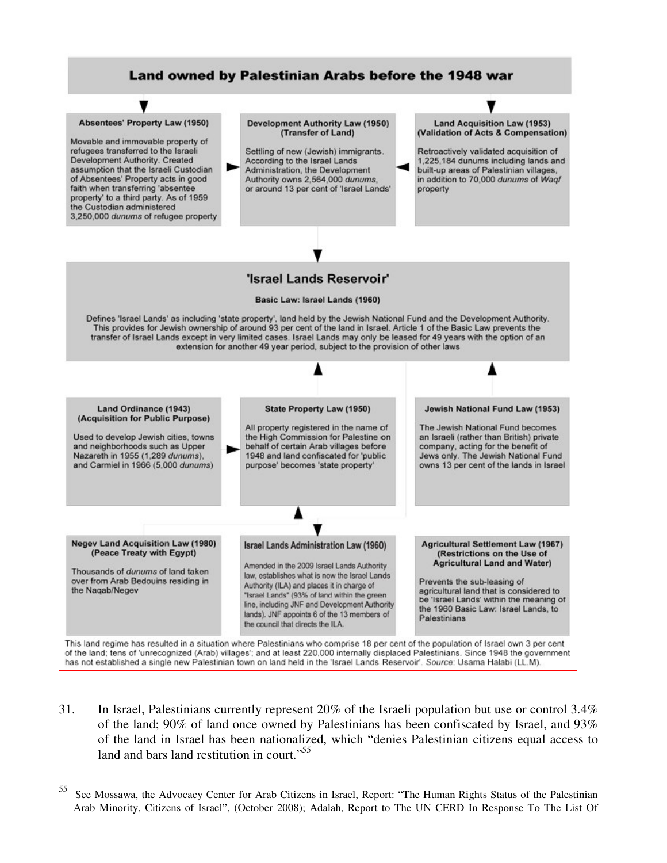

- has not established a single new Palestinian town on land held in the 'Israel Lands Reservoir'. Source: Usama Halabi (LL.M).
- 31. In Israel, Palestinians currently represent 20% of the Israeli population but use or control 3.4% of the land; 90% of land once owned by Palestinians has been confiscated by Israel, and 93% of the land in Israel has been nationalized, which "denies Palestinian citizens equal access to land and bars land restitution in court."<sup>55</sup>

<sup>55</sup> <sup>55</sup> See Mossawa, the Advocacy Center for Arab Citizens in Israel, Report: "The Human Rights Status of the Palestinian Arab Minority, Citizens of Israel", (October 2008); Adalah, Report to The UN CERD In Response To The List Of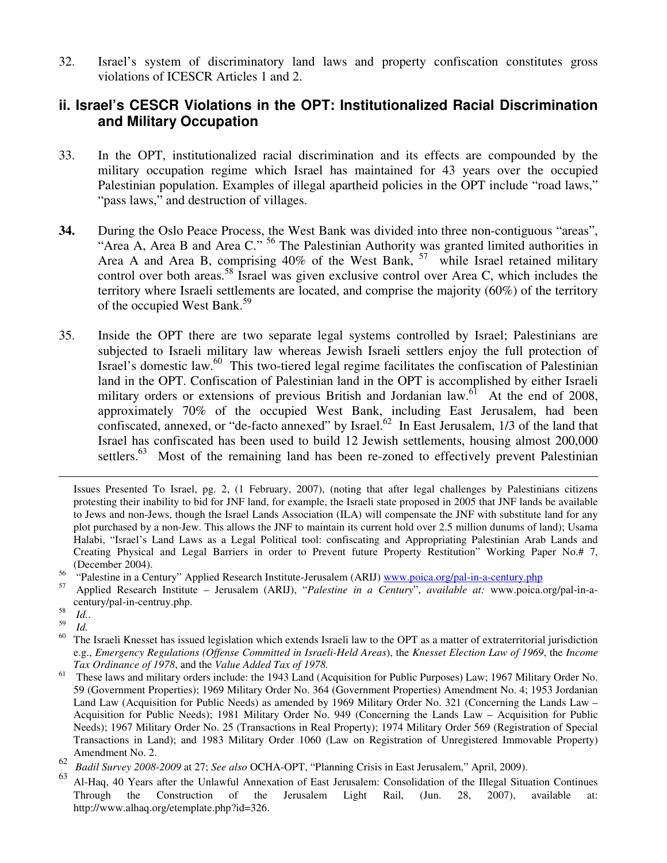32. Israel's system of discriminatory land laws and property confiscation constitutes gross violations of ICESCR Articles 1 and 2.

## **ii. Israel's CESCR Violations in the OPT: Institutionalized Racial Discrimination and Military Occupation**

- 33. In the OPT, institutionalized racial discrimination and its effects are compounded by the military occupation regime which Israel has maintained for 43 years over the occupied Palestinian population. Examples of illegal apartheid policies in the OPT include "road laws," "pass laws," and destruction of villages.
- **34.** During the Oslo Peace Process, the West Bank was divided into three non-contiguous "areas", "Area A, Area B and Area C." <sup>56</sup> The Palestinian Authority was granted limited authorities in Area A and Area B, comprising 40% of the West Bank, <sup>57</sup> while Israel retained military control over both areas.<sup>58</sup> Israel was given exclusive control over Area C, which includes the territory where Israeli settlements are located, and comprise the majority (60%) of the territory of the occupied West Bank.<sup>59</sup>
- 35. Inside the OPT there are two separate legal systems controlled by Israel; Palestinians are subjected to Israeli military law whereas Jewish Israeli settlers enjoy the full protection of Israel's domestic law.<sup>60</sup> This two-tiered legal regime facilitates the confiscation of Palestinian land in the OPT. Confiscation of Palestinian land in the OPT is accomplished by either Israeli military orders or extensions of previous British and Jordanian law.<sup>61</sup> At the end of 2008, approximately 70% of the occupied West Bank, including East Jerusalem, had been confiscated, annexed, or "de-facto annexed" by Israel.<sup>62</sup> In East Jerusalem,  $1/3$  of the land that Israel has confiscated has been used to build 12 Jewish settlements, housing almost 200,000 settlers.<sup>63</sup> Most of the remaining land has been re-zoned to effectively prevent Palestinian

Issues Presented To Israel, pg. 2, (1 February, 2007), (noting that after legal challenges by Palestinians citizens protesting their inability to bid for JNF land, for example, the Israeli state proposed in 2005 that JNF lands be available to Jews and non-Jews, though the Israel Lands Association (ILA) will compensate the JNF with substitute land for any plot purchased by a non-Jew. This allows the JNF to maintain its current hold over 2.5 million dunums of land); Usama Halabi, "Israel's Land Laws as a Legal Political tool: confiscating and Appropriating Palestinian Arab Lands and Creating Physical and Legal Barriers in order to Prevent future Property Restitution" Working Paper No.# 7, (December 2004).

- <sup>56</sup> "Palestine in a Century" Applied Research Institute-Jerusalem (ARIJ) www.poica.org/pal-in-a-century.php<br> $\frac{57}{2}$
- <sup>57</sup> Applied Research Institute Jerusalem (ARIJ), "*Palestine in a Century*", *available at:* www.poica.org/pal-in-acentury/pal-in-centruy.php. 58
- *Id.*. 59

 $\overline{a}$ 

 $\frac{59}{60}$  *Id.* 

These laws and military orders include: the 1943 Land (Acquisition for Public Purposes) Law; 1967 Military Order No. 59 (Government Properties); 1969 Military Order No. 364 (Government Properties) Amendment No. 4; 1953 Jordanian Land Law (Acquisition for Public Needs) as amended by 1969 Military Order No. 321 (Concerning the Lands Law – Acquisition for Public Needs); 1981 Military Order No. 949 (Concerning the Lands Law – Acquisition for Public Needs); 1967 Military Order No. 25 (Transactions in Real Property); 1974 Military Order 569 (Registration of Special Transactions in Land); and 1983 Military Order 1060 (Law on Registration of Unregistered Immovable Property) Amendment No. 2.

<sup>63</sup> Al-Haq, 40 Years after the Unlawful Annexation of East Jerusalem: Consolidation of the Illegal Situation Continues Through the Construction of the Jerusalem Light Rail, (Jun. 28, 2007), available at: http://www.alhaq.org/etemplate.php?id=326.

The Israeli Knesset has issued legislation which extends Israeli law to the OPT as a matter of extraterritorial jurisdiction e.g., *Emergency Regulations (Offense Committed in Israeli-Held Areas*), the *Knesset Election Law of 1969*, the *Income Tax Ordinance of 1978*, and the *Value Added Tax of 1978.* 

<sup>62</sup> *Badil Survey 2008-2009* at 27; *See also* OCHA-OPT, "Planning Crisis in East Jerusalem," April, 2009).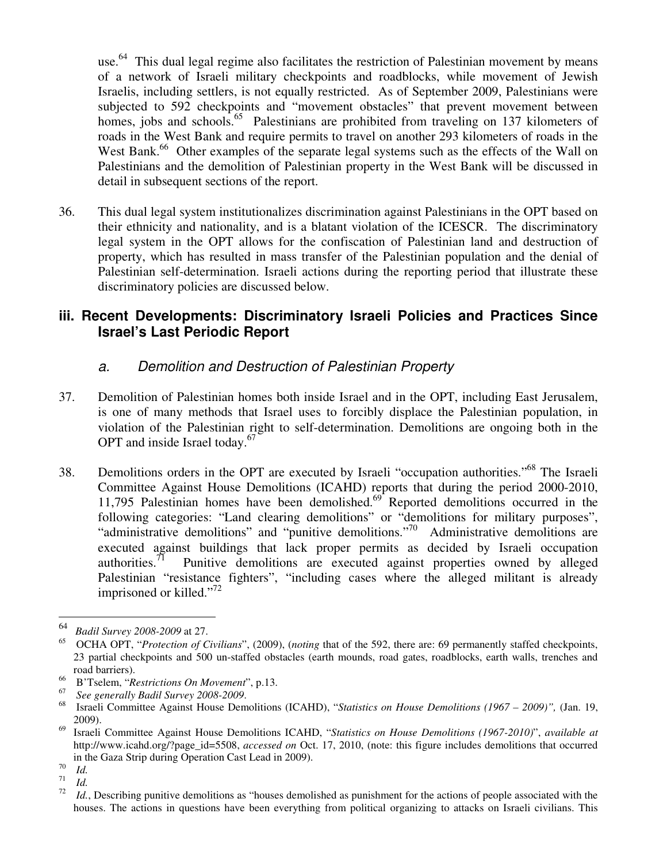use.<sup>64</sup> This dual legal regime also facilitates the restriction of Palestinian movement by means of a network of Israeli military checkpoints and roadblocks, while movement of Jewish Israelis, including settlers, is not equally restricted. As of September 2009, Palestinians were subjected to 592 checkpoints and "movement obstacles" that prevent movement between homes, jobs and schools.<sup>65</sup> Palestinians are prohibited from traveling on 137 kilometers of roads in the West Bank and require permits to travel on another 293 kilometers of roads in the West Bank.<sup>66</sup> Other examples of the separate legal systems such as the effects of the Wall on Palestinians and the demolition of Palestinian property in the West Bank will be discussed in detail in subsequent sections of the report.

36. This dual legal system institutionalizes discrimination against Palestinians in the OPT based on their ethnicity and nationality, and is a blatant violation of the ICESCR. The discriminatory legal system in the OPT allows for the confiscation of Palestinian land and destruction of property, which has resulted in mass transfer of the Palestinian population and the denial of Palestinian self-determination. Israeli actions during the reporting period that illustrate these discriminatory policies are discussed below.

## **iii. Recent Developments: Discriminatory Israeli Policies and Practices Since Israel's Last Periodic Report**

## a. Demolition and Destruction of Palestinian Property

- 37. Demolition of Palestinian homes both inside Israel and in the OPT, including East Jerusalem, is one of many methods that Israel uses to forcibly displace the Palestinian population, in violation of the Palestinian right to self-determination. Demolitions are ongoing both in the OPT and inside Israel today. $67$
- 38. Demolitions orders in the OPT are executed by Israeli "occupation authorities."<sup>68</sup> The Israeli Committee Against House Demolitions (ICAHD) reports that during the period 2000-2010, 11,795 Palestinian homes have been demolished. $69^{\circ}$  Reported demolitions occurred in the following categories: "Land clearing demolitions" or "demolitions for military purposes", "administrative demolitions" and "punitive demolitions."<sup>70</sup> Administrative demolitions are executed against buildings that lack proper permits as decided by Israeli occupation authorities.<sup>71</sup> Punitive demolitions are executed against properties owned by alleged Punitive demolitions are executed against properties owned by alleged Palestinian "resistance fighters", "including cases where the alleged militant is already imprisoned or killed."<sup>72</sup>

-

<sup>64</sup> *Badil Survey 2008-2009* at 27.

<sup>65</sup> OCHA OPT, "*Protection of Civilians*", (2009), (*noting* that of the 592, there are: 69 permanently staffed checkpoints, 23 partial checkpoints and 500 un-staffed obstacles (earth mounds, road gates, roadblocks, earth walls, trenches and road barriers).

<sup>66</sup> B'Tselem, "*Restrictions On Movement*", p.13.

<sup>67</sup> *See generally Badil Survey 2008-2009*.

<sup>68</sup> Israeli Committee Against House Demolitions (ICAHD), "*Statistics on House Demolitions (1967 – 2009)",* (Jan. 19, 2009).

<sup>69</sup> Israeli Committee Against House Demolitions ICAHD, "*Statistics on House Demolitions (1967-2010)*", *available at*  http://www.icahd.org/?page\_id=5508, *accessed on* Oct. 17, 2010, (note: this figure includes demolitions that occurred in the Gaza Strip during Operation Cast Lead in 2009).

<sup>70</sup>  $\frac{70}{71}$  *Id.* 

 $\frac{71}{72}$  *Id.* 

Id., Describing punitive demolitions as "houses demolished as punishment for the actions of people associated with the houses. The actions in questions have been everything from political organizing to attacks on Israeli civilians. This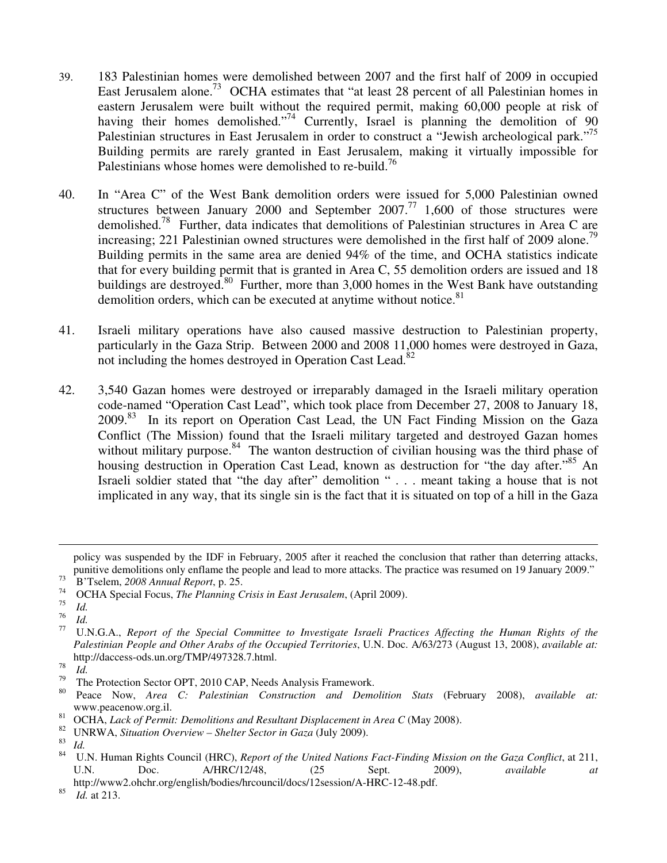- 39. 183 Palestinian homes were demolished between 2007 and the first half of 2009 in occupied East Jerusalem alone.<sup>73</sup> OCHA estimates that "at least 28 percent of all Palestinian homes in eastern Jerusalem were built without the required permit, making 60,000 people at risk of having their homes demolished."<sup>74</sup> Currently, Israel is planning the demolition of 90 Palestinian structures in East Jerusalem in order to construct a "Jewish archeological park."<sup>75</sup> Building permits are rarely granted in East Jerusalem, making it virtually impossible for Palestinians whose homes were demolished to re-build.<sup>76</sup>
- 40. In "Area C" of the West Bank demolition orders were issued for 5,000 Palestinian owned structures between January 2000 and September  $2007$ .<sup>77</sup> 1,600 of those structures were demolished.<sup>78</sup> Further, data indicates that demolitions of Palestinian structures in Area C are increasing; 221 Palestinian owned structures were demolished in the first half of 2009 alone.<sup>79</sup> Building permits in the same area are denied 94% of the time, and OCHA statistics indicate that for every building permit that is granted in Area C, 55 demolition orders are issued and 18 buildings are destroyed.<sup>80</sup> Further, more than 3,000 homes in the West Bank have outstanding demolition orders, which can be executed at anytime without notice.<sup>81</sup>
- 41. Israeli military operations have also caused massive destruction to Palestinian property, particularly in the Gaza Strip. Between 2000 and 2008 11,000 homes were destroyed in Gaza, not including the homes destroyed in Operation Cast Lead.<sup>82</sup>
- 42. 3,540 Gazan homes were destroyed or irreparably damaged in the Israeli military operation code-named "Operation Cast Lead", which took place from December 27, 2008 to January 18, 2009.<sup>83</sup> In its report on Operation Cast Lead, the UN Fact Finding Mission on the Gaza Conflict (The Mission) found that the Israeli military targeted and destroyed Gazan homes without military purpose.<sup>84</sup> The wanton destruction of civilian housing was the third phase of housing destruction in Operation Cast Lead, known as destruction for "the day after."<sup>85</sup> An Israeli soldier stated that "the day after" demolition " . . . meant taking a house that is not implicated in any way, that its single sin is the fact that it is situated on top of a hill in the Gaza

 $\overline{a}$ 

85 *Id.* at 213.

policy was suspended by the IDF in February, 2005 after it reached the conclusion that rather than deterring attacks, punitive demolitions only enflame the people and lead to more attacks. The practice was resumed on 19 January 2009."

<sup>73</sup> B'Tselem, *2008 Annual Report*, p. 25.

<sup>74</sup> OCHA Special Focus, *The Planning Crisis in East Jerusalem*, (April 2009).

<sup>75</sup>  $\frac{75}{76}$  *Id.* 

 $rac{76}{77}$  *Id.* 

<sup>77</sup> U.N.G.A., *Report of the Special Committee to Investigate Israeli Practices Affecting the Human Rights of the Palestinian People and Other Arabs of the Occupied Territories*, U.N. Doc. A/63/273 (August 13, 2008), *available at:* http://daccess-ods.un.org/TMP/497328.7.html.

<sup>78</sup>  $\frac{78}{79}$  *Id.* 

<sup>&</sup>lt;sup>79</sup> The Protection Sector OPT, 2010 CAP, Needs Analysis Framework.

<sup>80</sup> Peace Now, *Area C: Palestinian Construction and Demolition Stats* (February 2008), *available at:*  www.peacenow.org.il.

<sup>&</sup>lt;sup>81</sup> OCHA, *Lack of Permit: Demolitions and Resultant Displacement in Area C* (May 2008).<br><sup>82</sup> IJNRWA, Situation Overview, Shelter Sector in Gaza (July 2000).

<sup>&</sup>lt;sup>82</sup> UNRWA, *Situation Overview – Shelter Sector in Gaza* (July 2009).

 $\frac{83}{84}$  *Id.* 

<sup>84</sup> U.N. Human Rights Council (HRC), *Report of the United Nations Fact-Finding Mission on the Gaza Conflict*, at 211, U.N. Doc. A/HRC/12/48, (25 Sept. 2009), *available at* 

http://www2.ohchr.org/english/bodies/hrcouncil/docs/12session/A-HRC-12-48.pdf.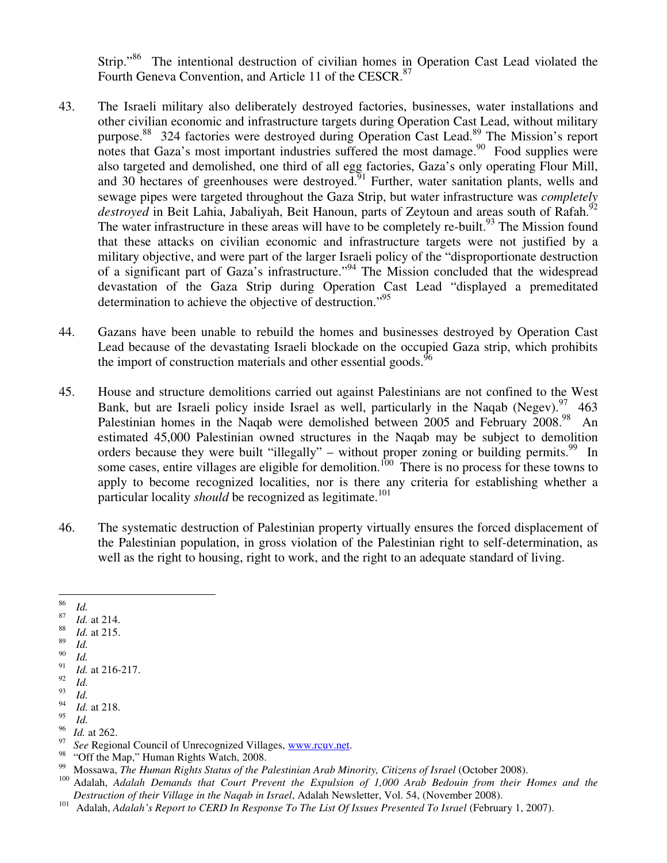Strip."<sup>86</sup> The intentional destruction of civilian homes in Operation Cast Lead violated the Fourth Geneva Convention, and Article 11 of the CESCR.<sup>87</sup>

- 43. The Israeli military also deliberately destroyed factories, businesses, water installations and other civilian economic and infrastructure targets during Operation Cast Lead, without military purpose.<sup>88</sup> 324 factories were destroyed during Operation Cast Lead.<sup>89</sup> The Mission's report notes that Gaza's most important industries suffered the most damage.  $90\degree$  Food supplies were also targeted and demolished, one third of all egg factories, Gaza's only operating Flour Mill, and 30 hectares of greenhouses were destroyed.<sup>91</sup> Further, water sanitation plants, wells and sewage pipes were targeted throughout the Gaza Strip, but water infrastructure was *completely*  destroyed in Beit Lahia, Jabaliyah, Beit Hanoun, parts of Zeytoun and areas south of Rafah.<sup>92</sup> The water infrastructure in these areas will have to be completely re-built.<sup>93</sup> The Mission found that these attacks on civilian economic and infrastructure targets were not justified by a military objective, and were part of the larger Israeli policy of the "disproportionate destruction of a significant part of Gaza's infrastructure."<sup>94</sup> The Mission concluded that the widespread devastation of the Gaza Strip during Operation Cast Lead "displayed a premeditated determination to achieve the objective of destruction."<sup>95</sup>
- 44. Gazans have been unable to rebuild the homes and businesses destroyed by Operation Cast Lead because of the devastating Israeli blockade on the occupied Gaza strip, which prohibits the import of construction materials and other essential goods.<sup>96</sup>
- 45. House and structure demolitions carried out against Palestinians are not confined to the West Bank, but are Israeli policy inside Israel as well, particularly in the Naqab (Negev).  $\frac{97}{463}$ Palestinian homes in the Naqab were demolished between 2005 and February 2008.<sup>98</sup> An estimated 45,000 Palestinian owned structures in the Naqab may be subject to demolition orders because they were built "illegally" – without proper zoning or building permits.<sup>99</sup> In some cases, entire villages are eligible for demolition.<sup>100</sup> There is no process for these towns to apply to become recognized localities, nor is there any criteria for establishing whether a particular locality *should* be recognized as legitimate.<sup>101</sup>
- 46. The systematic destruction of Palestinian property virtually ensures the forced displacement of the Palestinian population, in gross violation of the Palestinian right to self-determination, as well as the right to housing, right to work, and the right to an adequate standard of living.
- —<br>86 *Id.*
- 87 *Id.* at 214.
- 88 *Id.* at 215.
- 89 *Id.*
- 90 *Id.*  91

- *Id.*  93
- *Id.*  94

- $\frac{95}{96}$  *Id.*
- $\frac{96}{97}$  *Id.* at 262. <sup>97</sup> See Regional Council of Unrecognized Villages, www.rcuv.net.
- <sup>98</sup> "Off the Map," Human Rights Watch, 2008.<br><sup>99</sup> Mossous, *The Human Bights Status of the P*
- <sup>99</sup> Mossawa, *The Human Rights Status of the Palestinian Arab Minority, Citizens of Israel* (October 2008).<br><sup>100</sup> Adalah, Adalah, Demands, that Court, Prevent, the Expulsion of 1,000 Arab Redouin from their. *F*
- <sup>100</sup> Adalah, *Adalah Demands that Court Prevent the Expulsion of 1,000 Arab Bedouin from their Homes and the Destruction of their Village in the Naqab in Israel*, Adalah Newsletter, Vol. 54, (November 2008).
- <sup>101</sup> Adalah, *Adalah's Report to CERD In Response To The List Of Issues Presented To Israel* (February 1, 2007).

*Id.* at 216-217. 92

*Id.* at 218. 95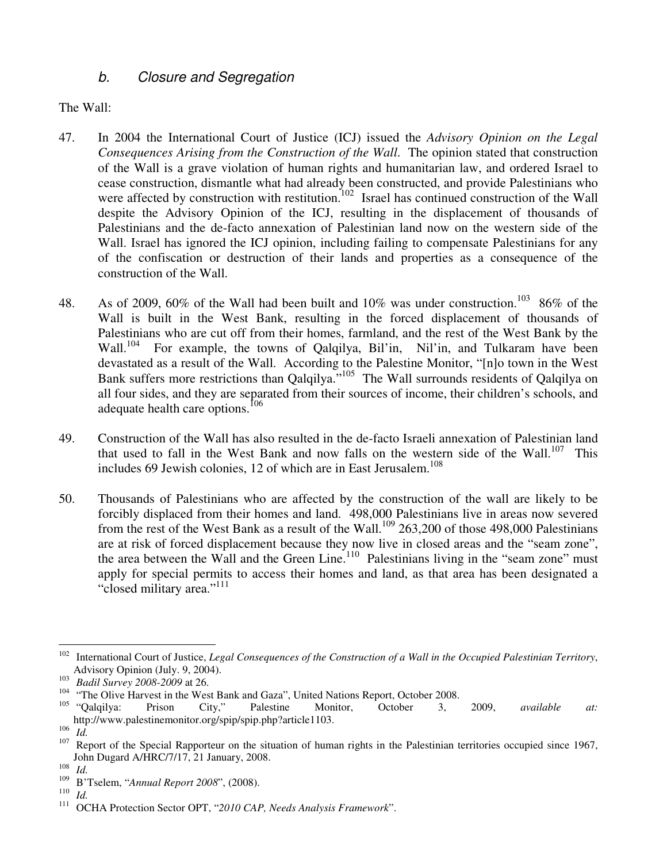## b. Closure and Segregation

The Wall:

- 47. In 2004 the International Court of Justice (ICJ) issued the *Advisory Opinion on the Legal Consequences Arising from the Construction of the Wall*. The opinion stated that construction of the Wall is a grave violation of human rights and humanitarian law, and ordered Israel to cease construction, dismantle what had already been constructed, and provide Palestinians who were affected by construction with restitution.<sup>102</sup> Israel has continued construction of the Wall despite the Advisory Opinion of the ICJ, resulting in the displacement of thousands of Palestinians and the de-facto annexation of Palestinian land now on the western side of the Wall. Israel has ignored the ICJ opinion, including failing to compensate Palestinians for any of the confiscation or destruction of their lands and properties as a consequence of the construction of the Wall.
- 48. As of 2009, 60% of the Wall had been built and 10% was under construction.<sup>103</sup> 86% of the Wall is built in the West Bank, resulting in the forced displacement of thousands of Palestinians who are cut off from their homes, farmland, and the rest of the West Bank by the Wall.<sup>104</sup> For example, the towns of Qalqilya, Bil'in, Nil'in, and Tulkaram have been devastated as a result of the Wall. According to the Palestine Monitor, "[n]o town in the West Bank suffers more restrictions than Qalqilya."<sup>105</sup> The Wall surrounds residents of Qalqilya on all four sides, and they are separated from their sources of income, their children's schools, and adequate health care options.<sup>106</sup>
- 49. Construction of the Wall has also resulted in the de-facto Israeli annexation of Palestinian land that used to fall in the West Bank and now falls on the western side of the Wall.<sup>107</sup> This includes 69 Jewish colonies, 12 of which are in East Jerusalem. 108
- 50. Thousands of Palestinians who are affected by the construction of the wall are likely to be forcibly displaced from their homes and land. 498,000 Palestinians live in areas now severed from the rest of the West Bank as a result of the Wall.<sup>109</sup> 263,200 of those 498,000 Palestinians are at risk of forced displacement because they now live in closed areas and the "seam zone", the area between the Wall and the Green Line.<sup>110</sup> Palestinians living in the "seam zone" must apply for special permits to access their homes and land, as that area has been designated a "closed military area."<sup>111</sup>

<sup>-</sup><sup>102</sup> International Court of Justice, *Legal Consequences of the Construction of a Wall in the Occupied Palestinian Territory*, Advisory Opinion (July. 9, 2004).

<sup>103</sup> <sup>103</sup> *Badil Survey 2008-2009* at 26.<br><sup>104</sup> *i*The Olive Hawcet in the West

<sup>&</sup>lt;sup>104</sup> "The Olive Harvest in the West Bank and Gaza", United Nations Report, October 2008.<br><sup>105</sup> "October", <sup>Octob</sup>er 2008.

<sup>105</sup> "Qalqilya: Prison City," Palestine Monitor, October 3, 2009, *available at:* http://www.palestinemonitor.org/spip/spip.php?article1103.

<sup>106</sup>  $\frac{106}{107}$  *Id.* 

Report of the Special Rapporteur on the situation of human rights in the Palestinian territories occupied since 1967, John Dugard A/HRC/7/17, 21 January, 2008.

<sup>108</sup>  $\frac{108}{109}$  *Id.* 

<sup>109</sup> B'Tselem, "*Annual Report 2008*", (2008).

<sup>110</sup>  $\frac{110}{111}$  *Id.* 

<sup>111</sup> OCHA Protection Sector OPT, "*2010 CAP, Needs Analysis Framework*".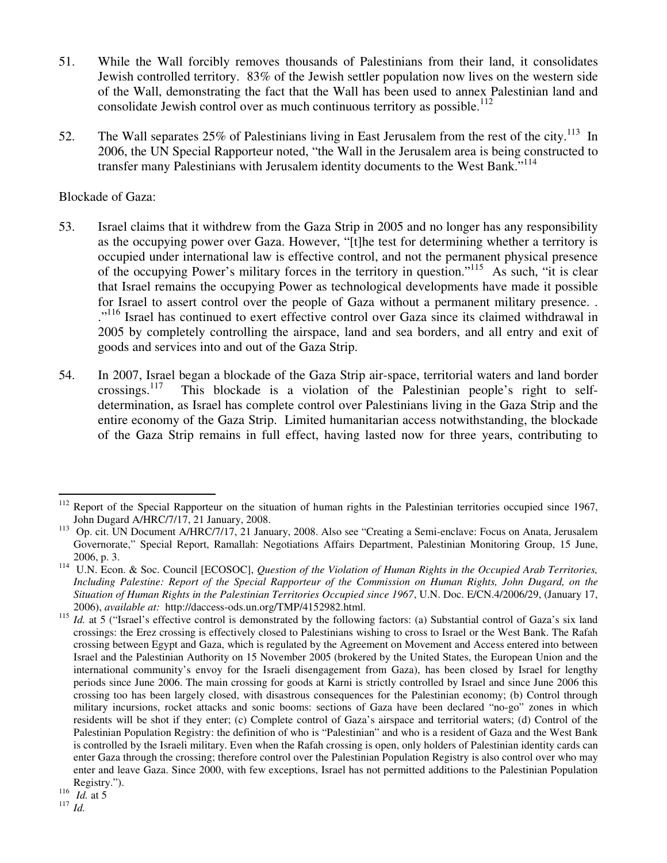- 51. While the Wall forcibly removes thousands of Palestinians from their land, it consolidates Jewish controlled territory. 83% of the Jewish settler population now lives on the western side of the Wall, demonstrating the fact that the Wall has been used to annex Palestinian land and consolidate Jewish control over as much continuous territory as possible.<sup>112</sup>
- 52. The Wall separates  $25\%$  of Palestinians living in East Jerusalem from the rest of the city.<sup>113</sup> In 2006, the UN Special Rapporteur noted, "the Wall in the Jerusalem area is being constructed to transfer many Palestinians with Jerusalem identity documents to the West Bank."<sup>114</sup>

### Blockade of Gaza:

- 53. Israel claims that it withdrew from the Gaza Strip in 2005 and no longer has any responsibility as the occupying power over Gaza. However, "[t]he test for determining whether a territory is occupied under international law is effective control, and not the permanent physical presence of the occupying Power's military forces in the territory in question."<sup>115</sup> As such, "it is clear that Israel remains the occupying Power as technological developments have made it possible for Israel to assert control over the people of Gaza without a permanent military presence. . ."<sup>116</sup> Israel has continued to exert effective control over Gaza since its claimed withdrawal in 2005 by completely controlling the airspace, land and sea borders, and all entry and exit of goods and services into and out of the Gaza Strip.
- 54. In 2007, Israel began a blockade of the Gaza Strip air-space, territorial waters and land border crossings.<sup>117</sup> This blockade is a violation of the Palestinian people's right to self-This blockade is a violation of the Palestinian people's right to selfdetermination, as Israel has complete control over Palestinians living in the Gaza Strip and the entire economy of the Gaza Strip. Limited humanitarian access notwithstanding, the blockade of the Gaza Strip remains in full effect, having lasted now for three years, contributing to

-

 $112$  Report of the Special Rapporteur on the situation of human rights in the Palestinian territories occupied since 1967, John Dugard A/HRC/7/17, 21 January, 2008.

<sup>&</sup>lt;sup>113</sup> Op. cit. UN Document A/HRC/7/17, 21 January, 2008. Also see "Creating a Semi-enclave: Focus on Anata, Jerusalem Governorate," Special Report, Ramallah: Negotiations Affairs Department, Palestinian Monitoring Group, 15 June, 2006, p. 3.

<sup>114</sup> U.N. Econ. & Soc. Council [ECOSOC], *Question of the Violation of Human Rights in the Occupied Arab Territories, Including Palestine: Report of the Special Rapporteur of the Commission on Human Rights, John Dugard, on the Situation of Human Rights in the Palestinian Territories Occupied since 1967*, U.N. Doc. E/CN.4/2006/29, (January 17, 2006), *available at:* http://daccess-ods.un.org/TMP/4152982.html.

<sup>&</sup>lt;sup>115</sup> *Id.* at 5 ("Israel's effective control is demonstrated by the following factors: (a) Substantial control of Gaza's six land crossings: the Erez crossing is effectively closed to Palestinians wishing to cross to Israel or the West Bank. The Rafah crossing between Egypt and Gaza, which is regulated by the Agreement on Movement and Access entered into between Israel and the Palestinian Authority on 15 November 2005 (brokered by the United States, the European Union and the international community's envoy for the Israeli disengagement from Gaza), has been closed by Israel for lengthy periods since June 2006. The main crossing for goods at Karni is strictly controlled by Israel and since June 2006 this crossing too has been largely closed, with disastrous consequences for the Palestinian economy; (b) Control through military incursions, rocket attacks and sonic booms: sections of Gaza have been declared "no-go" zones in which residents will be shot if they enter; (c) Complete control of Gaza's airspace and territorial waters; (d) Control of the Palestinian Population Registry: the definition of who is "Palestinian" and who is a resident of Gaza and the West Bank is controlled by the Israeli military. Even when the Rafah crossing is open, only holders of Palestinian identity cards can enter Gaza through the crossing; therefore control over the Palestinian Population Registry is also control over who may enter and leave Gaza. Since 2000, with few exceptions, Israel has not permitted additions to the Palestinian Population Registry.").

 $116$  *Id.* at 5

<sup>117</sup> *Id.*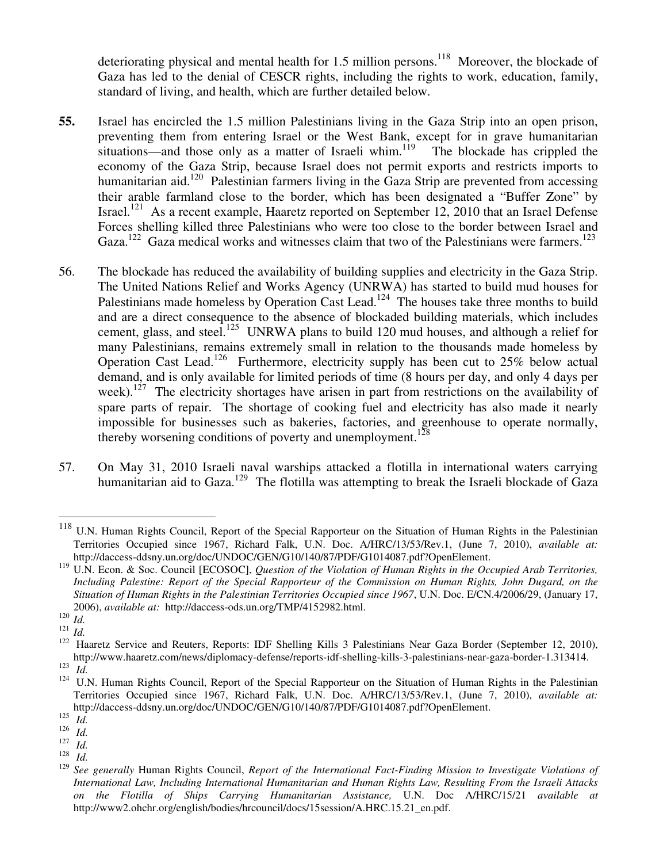deteriorating physical and mental health for 1.5 million persons.<sup>118</sup> Moreover, the blockade of Gaza has led to the denial of CESCR rights, including the rights to work, education, family, standard of living, and health, which are further detailed below.

- **55.** Israel has encircled the 1.5 million Palestinians living in the Gaza Strip into an open prison, preventing them from entering Israel or the West Bank, except for in grave humanitarian situations—and those only as a matter of Israeli whim.<sup>119</sup> The blockade has crippled the economy of the Gaza Strip, because Israel does not permit exports and restricts imports to humanitarian aid.<sup>120</sup> Palestinian farmers living in the Gaza Strip are prevented from accessing their arable farmland close to the border, which has been designated a "Buffer Zone" by Israel.<sup>121</sup> As a recent example, Haaretz reported on September 12, 2010 that an Israel Defense Forces shelling killed three Palestinians who were too close to the border between Israel and Gaza.<sup>122</sup> Gaza medical works and witnesses claim that two of the Palestinians were farmers.<sup>123</sup>
- 56. The blockade has reduced the availability of building supplies and electricity in the Gaza Strip. The United Nations Relief and Works Agency (UNRWA) has started to build mud houses for Palestinians made homeless by Operation Cast Lead.<sup>124</sup> The houses take three months to build and are a direct consequence to the absence of blockaded building materials, which includes cement, glass, and steel.<sup>125</sup> UNRWA plans to build 120 mud houses, and although a relief for many Palestinians, remains extremely small in relation to the thousands made homeless by Operation Cast Lead.<sup>126</sup> Furthermore, electricity supply has been cut to 25% below actual demand, and is only available for limited periods of time (8 hours per day, and only 4 days per week).<sup>127</sup> The electricity shortages have arisen in part from restrictions on the availability of spare parts of repair. The shortage of cooking fuel and electricity has also made it nearly impossible for businesses such as bakeries, factories, and greenhouse to operate normally, thereby worsening conditions of poverty and unemployment.<sup>128</sup>
- 57. On May 31, 2010 Israeli naval warships attacked a flotilla in international waters carrying humanitarian aid to Gaza.<sup>129</sup> The flotilla was attempting to break the Israeli blockade of Gaza

 $\overline{\phantom{a}}$ 

<sup>&</sup>lt;sup>118</sup> U.N. Human Rights Council, Report of the Special Rapporteur on the Situation of Human Rights in the Palestinian Territories Occupied since 1967, Richard Falk, U.N. Doc. A/HRC/13/53/Rev.1, (June 7, 2010), *available at:*  http://daccess-ddsny.un.org/doc/UNDOC/GEN/G10/140/87/PDF/G1014087.pdf?OpenElement.

<sup>119</sup> U.N. Econ. & Soc. Council [ECOSOC], *Question of the Violation of Human Rights in the Occupied Arab Territories, Including Palestine: Report of the Special Rapporteur of the Commission on Human Rights, John Dugard, on the Situation of Human Rights in the Palestinian Territories Occupied since 1967*, U.N. Doc. E/CN.4/2006/29, (January 17, 2006), *available at:* http://daccess-ods.un.org/TMP/4152982.html.

<sup>120</sup> *Id.* 

<sup>121</sup> *Id.* 

<sup>&</sup>lt;sup>122</sup> Haaretz Service and Reuters, Reports: IDF Shelling Kills 3 Palestinians Near Gaza Border (September 12, 2010), http://www.haaretz.com/news/diplomacy-defense/reports-idf-shelling-kills-3-palestinians-near-gaza-border-1.313414. 123

*Id.* 

<sup>&</sup>lt;sup>124</sup> U.N. Human Rights Council, Report of the Special Rapporteur on the Situation of Human Rights in the Palestinian Territories Occupied since 1967, Richard Falk, U.N. Doc. A/HRC/13/53/Rev.1, (June 7, 2010), *available at:*  http://daccess-ddsny.un.org/doc/UNDOC/GEN/G10/140/87/PDF/G1014087.pdf?OpenElement.

<sup>125</sup> *Id.* 

<sup>126</sup> *Id.* 

<sup>127</sup> *Id.* 

<sup>128</sup>  $\frac{128}{129}$  *Id.* 

<sup>129</sup> *See generally* Human Rights Council, *Report of the International Fact-Finding Mission to Investigate Violations of International Law, Including International Humanitarian and Human Rights Law, Resulting From the Israeli Attacks on the Flotilla of Ships Carrying Humanitarian Assistance,* U.N. Doc A/HRC/15/21 *available at* http://www2.ohchr.org/english/bodies/hrcouncil/docs/15session/A.HRC.15.21\_en.pdf.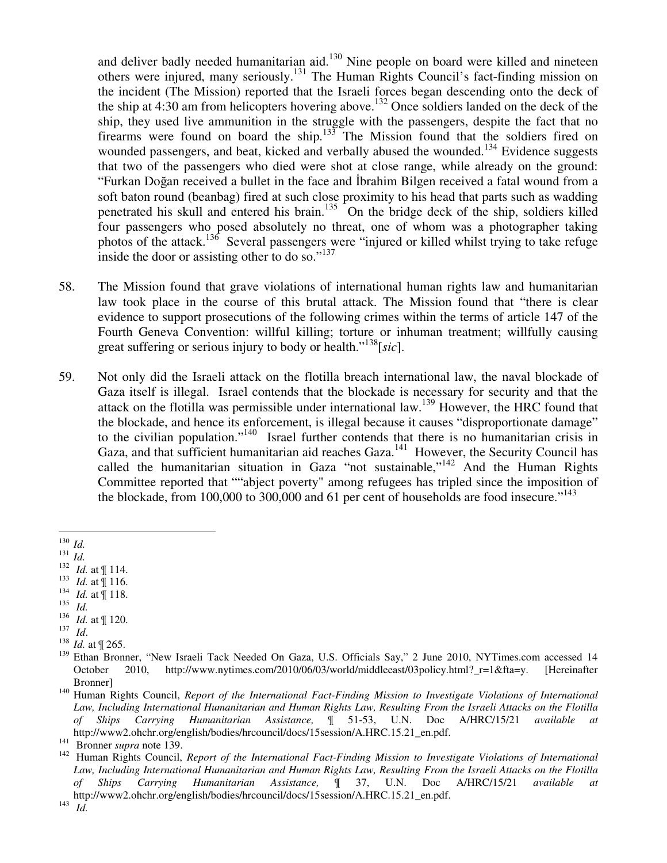and deliver badly needed humanitarian aid.<sup>130</sup> Nine people on board were killed and nineteen others were injured, many seriously.<sup>131</sup> The Human Rights Council's fact-finding mission on the incident (The Mission) reported that the Israeli forces began descending onto the deck of the ship at 4:30 am from helicopters hovering above.<sup>132</sup> Once soldiers landed on the deck of the ship, they used live ammunition in the struggle with the passengers, despite the fact that no firearms were found on board the ship.<sup>133</sup> The Mission found that the soldiers fired on wounded passengers, and beat, kicked and verbally abused the wounded.<sup>134</sup> Evidence suggests that two of the passengers who died were shot at close range, while already on the ground: "Furkan Doğan received a bullet in the face and İbrahim Bilgen received a fatal wound from a soft baton round (beanbag) fired at such close proximity to his head that parts such as wadding penetrated his skull and entered his brain.<sup>135</sup> On the bridge deck of the ship, soldiers killed four passengers who posed absolutely no threat, one of whom was a photographer taking photos of the attack.<sup>136</sup> Several passengers were "injured or killed whilst trying to take refuge inside the door or assisting other to do so."<sup>137</sup>

- 58. The Mission found that grave violations of international human rights law and humanitarian law took place in the course of this brutal attack. The Mission found that "there is clear evidence to support prosecutions of the following crimes within the terms of article 147 of the Fourth Geneva Convention: willful killing; torture or inhuman treatment; willfully causing great suffering or serious injury to body or health."<sup>138</sup>[*sic*].
- 59. Not only did the Israeli attack on the flotilla breach international law, the naval blockade of Gaza itself is illegal. Israel contends that the blockade is necessary for security and that the attack on the flotilla was permissible under international law.<sup>139</sup> However, the HRC found that the blockade, and hence its enforcement, is illegal because it causes "disproportionate damage" to the civilian population."<sup>140</sup> Israel further contends that there is no humanitarian crisis in Gaza, and that sufficient humanitarian aid reaches Gaza.<sup>141</sup> However, the Security Council has called the humanitarian situation in Gaza "not sustainable,"<sup>142</sup> And the Human Rights Committee reported that ""abject poverty" among refugees has tripled since the imposition of the blockade, from 100,000 to 300,000 and 61 per cent of households are food insecure."<sup>143</sup>

- 133 *Id.* at ¶ 116.
- 134 *Id.* at ¶ 118.
- 135 *Id.*
- 136 *Id.* at ¶ 120.
- 137 *Id*.

<sup>&</sup>lt;u>.</u> <sup>130</sup> *Id.*

<sup>131</sup> *Id.*

<sup>&</sup>lt;sup>132</sup> *Id.* at  $\llbracket$  114.

<sup>138</sup> *Id.* at ¶ 265.

<sup>&</sup>lt;sup>139</sup> Ethan Bronner, "New Israeli Tack Needed On Gaza, U.S. Officials Say," 2 June 2010, NYTimes.com accessed 14 October 2010, http://www.nytimes.com/2010/06/03/world/middleeast/03policy.html?\_r=1&fta=y. [Hereinafter Bronner]

<sup>140</sup> Human Rights Council, *Report of the International Fact-Finding Mission to Investigate Violations of International Law, Including International Humanitarian and Human Rights Law, Resulting From the Israeli Attacks on the Flotilla of Ships Carrying Humanitarian Assistance,* ¶ 51-53, U.N. Doc A/HRC/15/21 *available at* http://www2.ohchr.org/english/bodies/hrcouncil/docs/15session/A.HRC.15.21\_en.pdf.

<sup>141</sup> Bronner *supra* note 139.

<sup>142</sup> Human Rights Council, *Report of the International Fact-Finding Mission to Investigate Violations of International Law, Including International Humanitarian and Human Rights Law, Resulting From the Israeli Attacks on the Flotilla of Ships Carrying Humanitarian Assistance,* ¶ 37, U.N. Doc A/HRC/15/21 *available at* http://www2.ohchr.org/english/bodies/hrcouncil/docs/15session/A.HRC.15.21\_en.pdf.

<sup>143</sup> *Id.*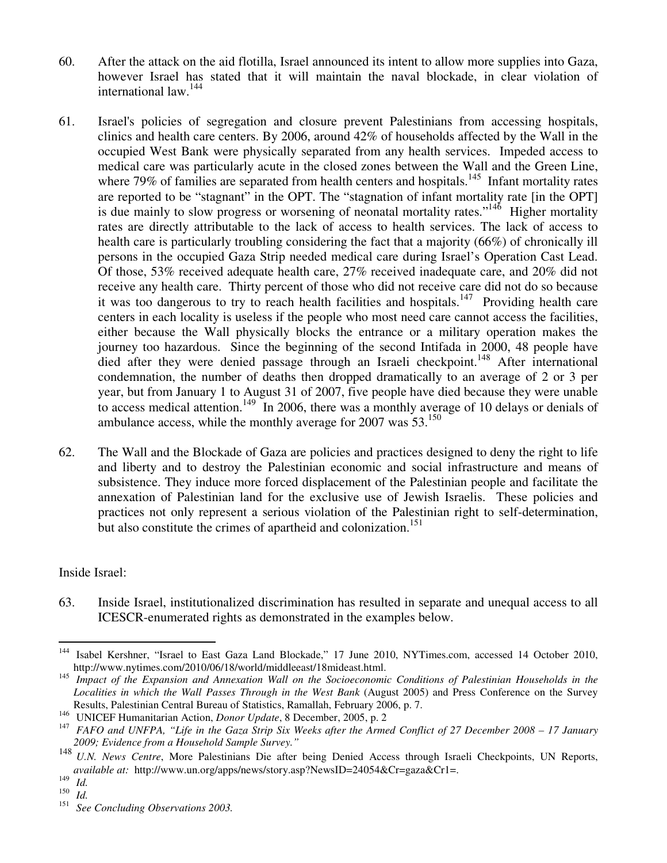- 60. After the attack on the aid flotilla, Israel announced its intent to allow more supplies into Gaza, however Israel has stated that it will maintain the naval blockade, in clear violation of international law.<sup>144</sup>
- 61. Israel's policies of segregation and closure prevent Palestinians from accessing hospitals, clinics and health care centers. By 2006, around 42% of households affected by the Wall in the occupied West Bank were physically separated from any health services. Impeded access to medical care was particularly acute in the closed zones between the Wall and the Green Line, where 79% of families are separated from health centers and hospitals.<sup>145</sup> Infant mortality rates are reported to be "stagnant" in the OPT. The "stagnation of infant mortality rate [in the OPT] is due mainly to slow progress or worsening of neonatal mortality rates.<sup> $146$ </sup> Higher mortality rates are directly attributable to the lack of access to health services. The lack of access to health care is particularly troubling considering the fact that a majority (66%) of chronically ill persons in the occupied Gaza Strip needed medical care during Israel's Operation Cast Lead. Of those, 53% received adequate health care, 27% received inadequate care, and 20% did not receive any health care. Thirty percent of those who did not receive care did not do so because it was too dangerous to try to reach health facilities and hospitals.<sup>147</sup> Providing health care centers in each locality is useless if the people who most need care cannot access the facilities, either because the Wall physically blocks the entrance or a military operation makes the journey too hazardous. Since the beginning of the second Intifada in 2000, 48 people have died after they were denied passage through an Israeli checkpoint.<sup>148</sup> After international condemnation, the number of deaths then dropped dramatically to an average of 2 or 3 per year, but from January 1 to August 31 of 2007, five people have died because they were unable to access medical attention.<sup>149</sup> In 2006, there was a monthly average of 10 delays or denials of ambulance access, while the monthly average for 2007 was  $53^{150}$
- 62. The Wall and the Blockade of Gaza are policies and practices designed to deny the right to life and liberty and to destroy the Palestinian economic and social infrastructure and means of subsistence. They induce more forced displacement of the Palestinian people and facilitate the annexation of Palestinian land for the exclusive use of Jewish Israelis. These policies and practices not only represent a serious violation of the Palestinian right to self-determination, but also constitute the crimes of apartheid and colonization.<sup>151</sup>

Inside Israel:

63. Inside Israel, institutionalized discrimination has resulted in separate and unequal access to all ICESCR-enumerated rights as demonstrated in the examples below.

-

<sup>&</sup>lt;sup>144</sup> Isabel Kershner, "Israel to East Gaza Land Blockade," 17 June 2010, NYTimes.com, accessed 14 October 2010, http://www.nytimes.com/2010/06/18/world/middleeast/18mideast.html.

<sup>&</sup>lt;sup>145</sup> Impact of the Expansion and Annexation Wall on the Socioeconomic Conditions of Palestinian Households in the *Localities in which the Wall Passes Through in the West Bank* (August 2005) and Press Conference on the Survey Results, Palestinian Central Bureau of Statistics, Ramallah, February 2006, p. 7.

<sup>146</sup> UNICEF Humanitarian Action, *Donor Update*, 8 December, 2005, p. 2

<sup>&</sup>lt;sup>147</sup> FAFO and UNFPA, "Life in the Gaza Strip Six Weeks after the Armed Conflict of 27 December 2008 – 17 January *2009; Evidence from a Household Sample Survey."* 

<sup>148</sup> *U.N. News Centre*, More Palestinians Die after being Denied Access through Israeli Checkpoints, UN Reports, *available at: http://www.un.org/apps/news/story.asp?NewsID=24054&Cr=gaza&Cr1=.* 

<sup>149</sup> *Id.* 

<sup>150</sup> *Id.* 

<sup>151</sup> *See Concluding Observations 2003.*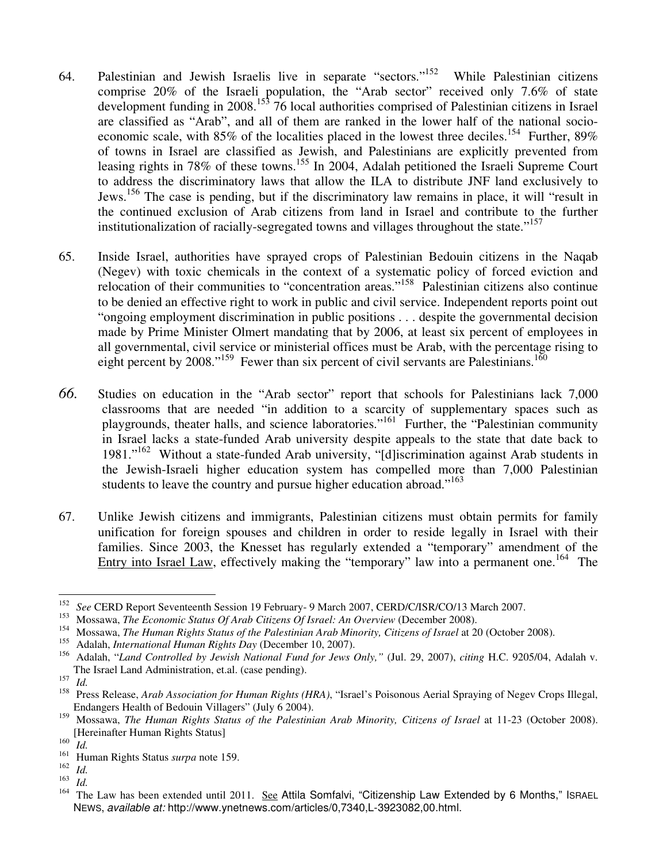- 64. Palestinian and Jewish Israelis live in separate "sectors."<sup>152</sup> While Palestinian citizens comprise 20% of the Israeli population, the "Arab sector" received only 7.6% of state development funding in 2008.<sup>153</sup> 76 local authorities comprised of Palestinian citizens in Israel are classified as "Arab", and all of them are ranked in the lower half of the national socioeconomic scale, with  $85\%$  of the localities placed in the lowest three deciles.<sup>154</sup> Further,  $89\%$ of towns in Israel are classified as Jewish, and Palestinians are explicitly prevented from leasing rights in 78% of these towns.<sup>155</sup> In 2004, Adalah petitioned the Israeli Supreme Court to address the discriminatory laws that allow the ILA to distribute JNF land exclusively to Jews.<sup>156</sup> The case is pending, but if the discriminatory law remains in place, it will "result in the continued exclusion of Arab citizens from land in Israel and contribute to the further institutionalization of racially-segregated towns and villages throughout the state."<sup>157</sup>
- 65. Inside Israel, authorities have sprayed crops of Palestinian Bedouin citizens in the Naqab (Negev) with toxic chemicals in the context of a systematic policy of forced eviction and relocation of their communities to "concentration areas."<sup>158</sup> Palestinian citizens also continue to be denied an effective right to work in public and civil service. Independent reports point out "ongoing employment discrimination in public positions . . . despite the governmental decision made by Prime Minister Olmert mandating that by 2006, at least six percent of employees in all governmental, civil service or ministerial offices must be Arab, with the percentage rising to eight percent by 2008."<sup>159</sup> Fewer than six percent of civil servants are Palestinians.<sup>160</sup>
- *66.* Studies on education in the "Arab sector" report that schools for Palestinians lack 7,000 classrooms that are needed "in addition to a scarcity of supplementary spaces such as playgrounds, theater halls, and science laboratories."<sup>161</sup> Further, the "Palestinian community in Israel lacks a state-funded Arab university despite appeals to the state that date back to 1981."<sup>162</sup> Without a state-funded Arab university, "[d]iscrimination against Arab students in the Jewish-Israeli higher education system has compelled more than 7,000 Palestinian students to leave the country and pursue higher education abroad."<sup>163</sup>
- 67. Unlike Jewish citizens and immigrants, Palestinian citizens must obtain permits for family unification for foreign spouses and children in order to reside legally in Israel with their families. Since 2003, the Knesset has regularly extended a "temporary" amendment of the Entry into Israel Law, effectively making the "temporary" law into a permanent one.<sup>164</sup> The

 $\frac{1}{152}$ <sup>152</sup> See CERD Report Seventeenth Session 19 February- 9 March 2007, CERD/C/ISR/CO/13 March 2007.

<sup>153</sup> Mossawa, *The Economic Status Of Arab Citizens Of Israel: An Overview* (December 2008).

<sup>&</sup>lt;sup>154</sup> Mossawa, *The Human Rights Status of the Palestinian Arab Minority, Citizens of Israel* at 20 (October 2008).<br><sup>155</sup> Adalah *Istamational Human Rights Dan* (Desember 10, 2007).

<sup>155</sup> Adalah, *International Human Rights Day* (December 10, 2007).

<sup>156</sup> Adalah, "*Land Controlled by Jewish National Fund for Jews Only,"* (Jul. 29, 2007), *citing* H.C. 9205/04, Adalah v. The Israel Land Administration, et.al. (case pending).

<sup>157</sup>  $\frac{157}{158}$  *Id.* 

<sup>158</sup> Press Release, *Arab Association for Human Rights (HRA)*, "Israel's Poisonous Aerial Spraying of Negev Crops Illegal, Endangers Health of Bedouin Villagers" (July 6 2004).

<sup>&</sup>lt;sup>159</sup> Mossawa, *The Human Rights Status of the Palestinian Arab Minority, Citizens of Israel* at 11-23 (October 2008). [Hereinafter Human Rights Status]

<sup>160</sup>  $\frac{160}{161}$  *Id.* 

<sup>161</sup> Human Rights Status *surpa* note 159.

<sup>162</sup> *Id.* 

<sup>163</sup>  $\frac{163}{164}$  *Id.* 

The Law has been extended until 2011. See Attila Somfalvi, "Citizenship Law Extended by 6 Months," ISRAEL NEWS, available at: http://www.ynetnews.com/articles/0,7340,L-3923082,00.html.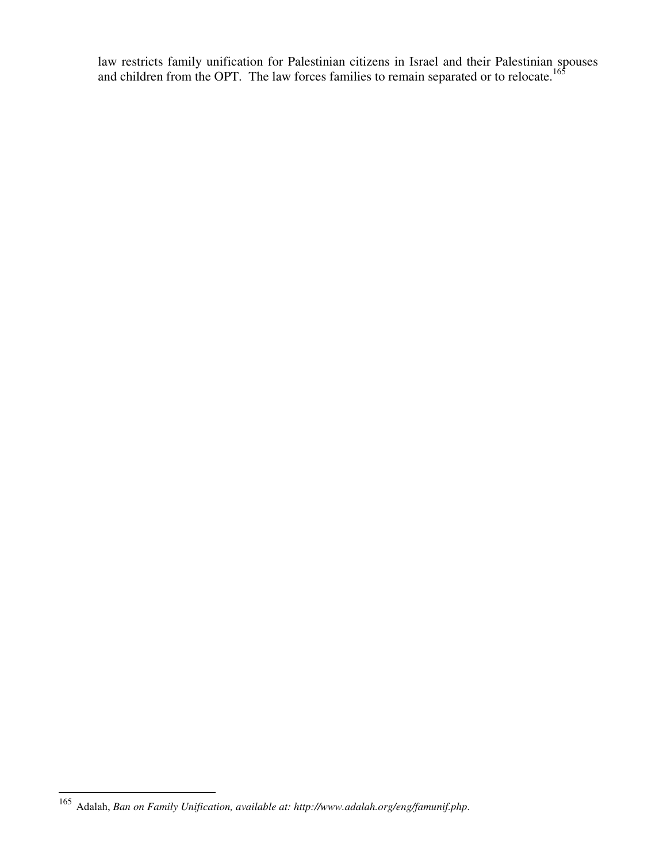law restricts family unification for Palestinian citizens in Israel and their Palestinian spouses and children from the OPT. The law forces families to remain separated or to relocate.<sup>165</sup>

-

<sup>165</sup> Adalah, *Ban on Family Unification, available at: http://www.adalah.org/eng/famunif.php*.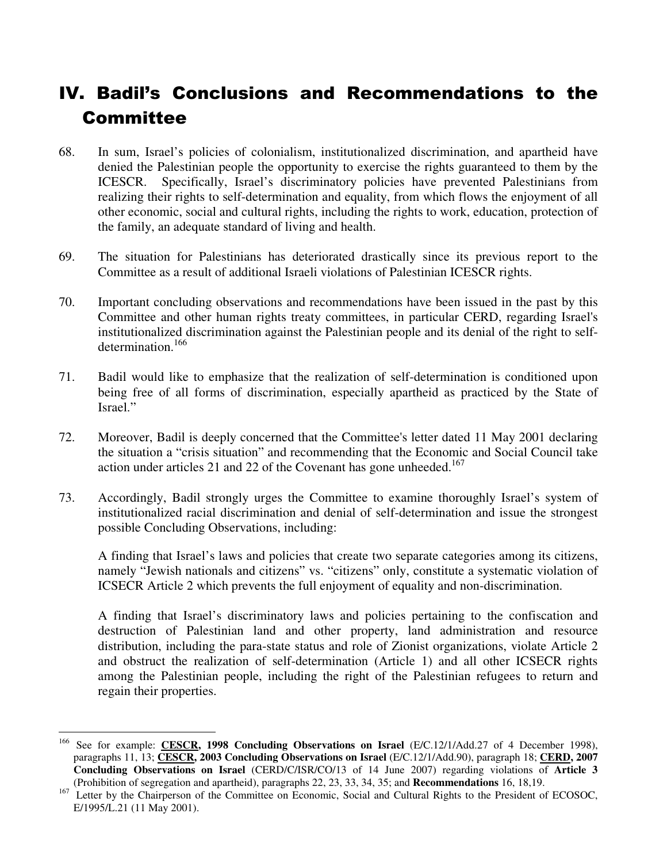# IV. Badil's Conclusions and Recommendations to the Committee

- 68. In sum, Israel's policies of colonialism, institutionalized discrimination, and apartheid have denied the Palestinian people the opportunity to exercise the rights guaranteed to them by the ICESCR. Specifically, Israel's discriminatory policies have prevented Palestinians from realizing their rights to self-determination and equality, from which flows the enjoyment of all other economic, social and cultural rights, including the rights to work, education, protection of the family, an adequate standard of living and health.
- 69. The situation for Palestinians has deteriorated drastically since its previous report to the Committee as a result of additional Israeli violations of Palestinian ICESCR rights.
- 70. Important concluding observations and recommendations have been issued in the past by this Committee and other human rights treaty committees, in particular CERD, regarding Israel's institutionalized discrimination against the Palestinian people and its denial of the right to selfdetermination.<sup>166</sup>
- 71. Badil would like to emphasize that the realization of self-determination is conditioned upon being free of all forms of discrimination, especially apartheid as practiced by the State of Israel."
- 72. Moreover, Badil is deeply concerned that the Committee's letter dated 11 May 2001 declaring the situation a "crisis situation" and recommending that the Economic and Social Council take action under articles 21 and 22 of the Covenant has gone unheeded.<sup>167</sup>
- 73. Accordingly, Badil strongly urges the Committee to examine thoroughly Israel's system of institutionalized racial discrimination and denial of self-determination and issue the strongest possible Concluding Observations, including:

A finding that Israel's laws and policies that create two separate categories among its citizens, namely "Jewish nationals and citizens" vs. "citizens" only, constitute a systematic violation of ICSECR Article 2 which prevents the full enjoyment of equality and non-discrimination.

A finding that Israel's discriminatory laws and policies pertaining to the confiscation and destruction of Palestinian land and other property, land administration and resource distribution, including the para-state status and role of Zionist organizations, violate Article 2 and obstruct the realization of self-determination (Article 1) and all other ICSECR rights among the Palestinian people, including the right of the Palestinian refugees to return and regain their properties.

<sup>166</sup> <sup>166</sup> See for example: **CESCR, 1998 Concluding Observations on Israel** (E/C.12/1/Add.27 of 4 December 1998), paragraphs 11, 13; **CESCR, 2003 Concluding Observations on Israel** (E/C.12/1/Add.90), paragraph 18; **CERD, 2007 Concluding Observations on Israel** (CERD/C/ISR/CO/13 of 14 June 2007) regarding violations of **Article 3**  (Prohibition of segregation and apartheid), paragraphs 22, 23, 33, 34, 35; and **Recommendations** 16, 18,19.

<sup>&</sup>lt;sup>167</sup> Letter by the Chairperson of the Committee on Economic, Social and Cultural Rights to the President of ECOSOC, E/1995/L.21 (11 May 2001).